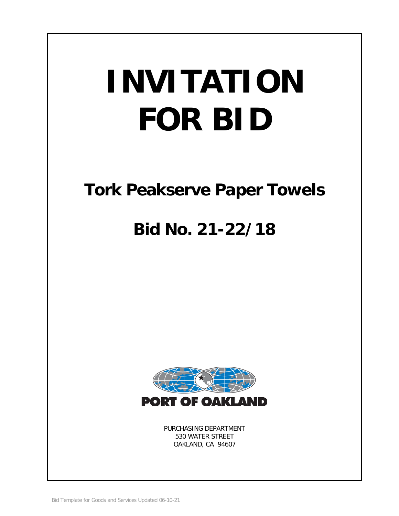# **INVITATION FOR BID**

# **Tork Peakserve Paper Towels**

# **Bid No. 21-22/18**



PURCHASING DEPARTMENT 530 WATER STREET OAKLAND, CA 94607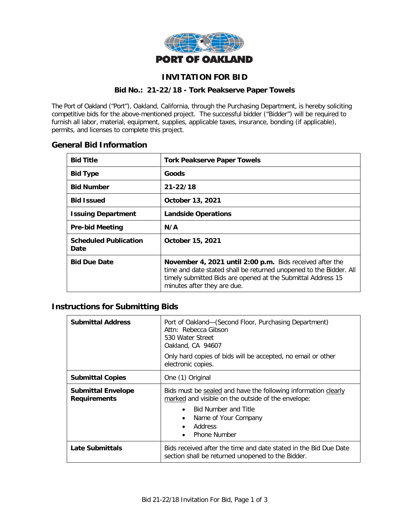

# **INVITATION FOR BID**

#### **Bid No.: 21-22/18 - Tork Peakserve Paper Towels**

The Port of Oakland ("Port"), Oakland, California, through the Purchasing Department, is hereby soliciting competitive bids for the above-mentioned project. The successful bidder ("Bidder") will be required to furnish all labor, material, equipment, supplies, applicable taxes, insurance, bonding (if applicable), permits, and licenses to complete this project.

# **General Bid Information**

| <b>Bid Title</b>                            | <b>Tork Peakserve Paper Towels</b>                                                                                                                                                                                            |
|---------------------------------------------|-------------------------------------------------------------------------------------------------------------------------------------------------------------------------------------------------------------------------------|
| <b>Bid Type</b>                             | Goods                                                                                                                                                                                                                         |
| <b>Bid Number</b>                           | $21 - 22/18$                                                                                                                                                                                                                  |
| <b>Bid Issued</b>                           | October 13, 2021                                                                                                                                                                                                              |
| <b>Issuing Department</b>                   | <b>Landside Operations</b>                                                                                                                                                                                                    |
| <b>Pre-bid Meeting</b>                      | N/A                                                                                                                                                                                                                           |
| <b>Scheduled Publication</b><br><b>Date</b> | October 15, 2021                                                                                                                                                                                                              |
| <b>Bid Due Date</b>                         | November 4, 2021 until 2:00 p.m. Bids received after the<br>time and date stated shall be returned unopened to the Bidder. All<br>timely submitted Bids are opened at the Submittal Address 15<br>minutes after they are due. |

# **Instructions for Submitting Bids**

| Submittal Address                                | Port of Oakland-(Second Floor, Purchasing Department)<br>Attn: Rebecca Gibson<br>530 Water Street<br>Oakland, CA 94607<br>Only hard copies of bids will be accepted, no email or other<br>electronic copies.                                               |  |  |
|--------------------------------------------------|------------------------------------------------------------------------------------------------------------------------------------------------------------------------------------------------------------------------------------------------------------|--|--|
| <b>Submittal Copies</b>                          | One (1) Original                                                                                                                                                                                                                                           |  |  |
| <b>Submittal Envelope</b><br><b>Requirements</b> | Bids must be sealed and have the following information clearly<br>marked and visible on the outside of the envelope:<br><b>Bid Number and Title</b><br>$\bullet$<br>Name of Your Company<br>$\bullet$<br>Address<br>$\bullet$<br>Phone Number<br>$\bullet$ |  |  |
| Late Submittals                                  | Bids received after the time and date stated in the Bid Due Date<br>section shall be returned unopened to the Bidder.                                                                                                                                      |  |  |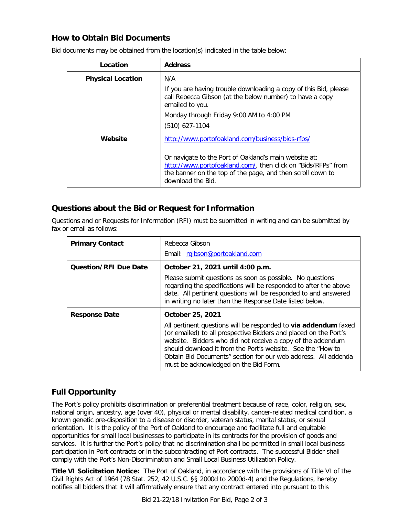# **How to Obtain Bid Documents**

| Location                 | <b>Address</b>                                                                                                                                                                                            |
|--------------------------|-----------------------------------------------------------------------------------------------------------------------------------------------------------------------------------------------------------|
| <b>Physical Location</b> | N/A                                                                                                                                                                                                       |
|                          | If you are having trouble downloading a copy of this Bid, please<br>call Rebecca Gibson (at the below number) to have a copy<br>emailed to you.                                                           |
|                          | Monday through Friday 9:00 AM to 4:00 PM                                                                                                                                                                  |
|                          | $(510)$ 627-1104                                                                                                                                                                                          |
| Website                  | http://www.portofoakland.com/business/bids-rfps/                                                                                                                                                          |
|                          | Or navigate to the Port of Oakland's main website at:<br>http://www.portofoakland.com/, then click on "Bids/RFPs" from<br>the banner on the top of the page, and then scroll down to<br>download the Bid. |

Bid documents may be obtained from the location(s) indicated in the table below:

# **Questions about the Bid or Request for Information**

Questions and or Requests for Information (RFI) must be submitted in writing and can be submitted by fax or email as follows:

| <b>Primary Contact</b>       | Rebecca Gibson<br>Email: rgibson@portoakland.com                                                                                                                                                                                                                                                                                                                                                 |  |
|------------------------------|--------------------------------------------------------------------------------------------------------------------------------------------------------------------------------------------------------------------------------------------------------------------------------------------------------------------------------------------------------------------------------------------------|--|
| <b>Question/RFI Due Date</b> | October 21, 2021 until 4:00 p.m.<br>Please submit questions as soon as possible. No questions<br>regarding the specifications will be responded to after the above<br>date. All pertinent questions will be responded to and answered<br>in writing no later than the Response Date listed below.                                                                                                |  |
| <b>Response Date</b>         | October 25, 2021<br>All pertinent questions will be responded to via addendum faxed<br>(or emailed) to all prospective Bidders and placed on the Port's<br>website. Bidders who did not receive a copy of the addendum<br>should download it from the Port's website. See the "How to<br>Obtain Bid Documents" section for our web address. All addenda<br>must be acknowledged on the Bid Form. |  |

# **Full Opportunity**

The Port's policy prohibits discrimination or preferential treatment because of race, color, religion, sex, national origin, ancestry, age (over 40), physical or mental disability, cancer-related medical condition, a known genetic pre-disposition to a disease or disorder, veteran status, marital status, or sexual orientation. It is the policy of the Port of Oakland to encourage and facilitate full and equitable opportunities for small local businesses to participate in its contracts for the provision of goods and services. It is further the Port's policy that no discrimination shall be permitted in small local business participation in Port contracts or in the subcontracting of Port contracts. The successful Bidder shall comply with the Port's Non-Discrimination and Small Local Business Utilization Policy.

**Title VI Solicitation Notice:** The Port of Oakland, in accordance with the provisions of Title VI of the Civil Rights Act of 1964 (78 Stat. 252, 42 U.S.C. §§ 2000d to 2000d-4) and the Regulations, hereby notifies all bidders that it will affirmatively ensure that any contract entered into pursuant to this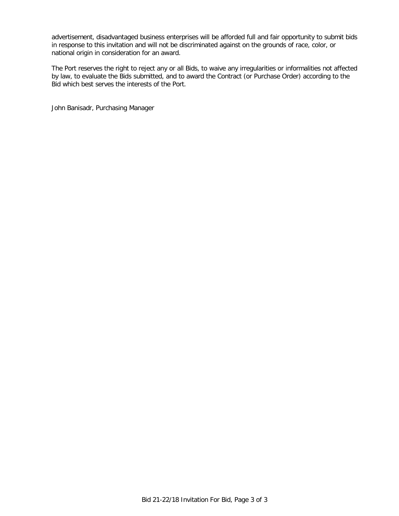advertisement, disadvantaged business enterprises will be afforded full and fair opportunity to submit bids in response to this invitation and will not be discriminated against on the grounds of race, color, or national origin in consideration for an award.

The Port reserves the right to reject any or all Bids, to waive any irregularities or informalities not affected by law, to evaluate the Bids submitted, and to award the Contract (or Purchase Order) according to the Bid which best serves the interests of the Port.

John Banisadr, Purchasing Manager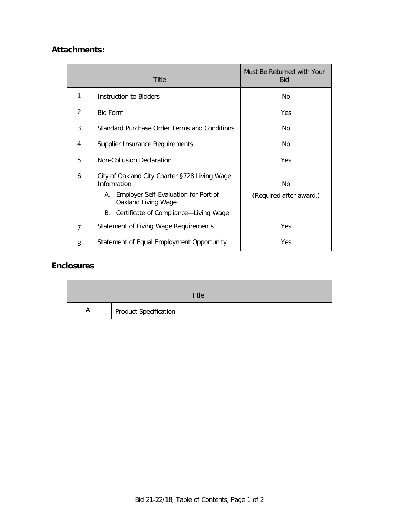# **Attachments:**

| Title |                                                                                                                                                                                  | Must Be Returned with Your<br><b>Bid</b> |
|-------|----------------------------------------------------------------------------------------------------------------------------------------------------------------------------------|------------------------------------------|
| 1     | Instruction to Bidders                                                                                                                                                           | No                                       |
| 2     | <b>Bid Form</b>                                                                                                                                                                  | <b>Yes</b>                               |
| 3     | Standard Purchase Order Terms and Conditions                                                                                                                                     | No                                       |
| 4     | Supplier Insurance Requirements                                                                                                                                                  | No                                       |
| 5     | Non-Collusion Declaration                                                                                                                                                        | Yes                                      |
| 6     | City of Oakland City Charter §728 Living Wage<br>Information<br>Employer Self-Evaluation for Port of<br>А.<br>Oakland Living Wage<br>Certificate of Compliance-Living Wage<br>В. | No<br>(Required after award.)            |
| 7     | <b>Statement of Living Wage Requirements</b>                                                                                                                                     | Yes                                      |
| 8     | Statement of Equal Employment Opportunity                                                                                                                                        | Yes                                      |

# **Enclosures**

|   | Title                 |
|---|-----------------------|
| A | Product Specification |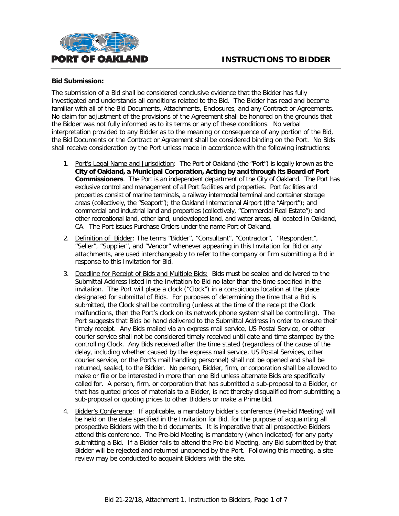

#### **Bid Submission:**

The submission of a Bid shall be considered conclusive evidence that the Bidder has fully investigated and understands all conditions related to the Bid. The Bidder has read and become familiar with all of the Bid Documents, Attachments, Enclosures, and any Contract or Agreements. No claim for adjustment of the provisions of the Agreement shall be honored on the grounds that the Bidder was not fully informed as to its terms or any of these conditions. No verbal interpretation provided to any Bidder as to the meaning or consequence of any portion of the Bid, the Bid Documents or the Contract or Agreement shall be considered binding on the Port. No Bids shall receive consideration by the Port unless made in accordance with the following instructions:

- 1. Port's Legal Name and Jurisdiction: The Port of Oakland (the "Port") is legally known as the **City of Oakland, a Municipal Corporation, Acting by and through its Board of Port Commissioners**. The Port is an independent department of the City of Oakland. The Port has exclusive control and management of all Port facilities and properties. Port facilities and properties consist of marine terminals, a railway intermodal terminal and container storage areas (collectively, the "Seaport"); the Oakland International Airport (the "Airport"); and commercial and industrial land and properties (collectively, "Commercial Real Estate"); and other recreational land, other land, undeveloped land, and water areas, all located in Oakland, CA. The Port issues Purchase Orders under the name Port of Oakland.
- 2. Definition of Bidder: The terms "Bidder", "Consultant", "Contractor", "Respondent", "Seller", "Supplier", and "Vendor" whenever appearing in this Invitation for Bid or any attachments, are used interchangeably to refer to the company or firm submitting a Bid in response to this Invitation for Bid.
- 3. Deadline for Receipt of Bids and Multiple Bids: Bids must be sealed and delivered to the Submittal Address listed in the Invitation to Bid no later than the time specified in the invitation. The Port will place a clock ("Clock") in a conspicuous location at the place designated for submittal of Bids. For purposes of determining the time that a Bid is submitted, the Clock shall be controlling (unless at the time of the receipt the Clock malfunctions, then the Port's clock on its network phone system shall be controlling). The Port suggests that Bids be hand delivered to the Submittal Address in order to ensure their timely receipt. Any Bids mailed via an express mail service, US Postal Service, or other courier service shall not be considered timely received until date and time stamped by the controlling Clock. Any Bids received after the time stated (regardless of the cause of the delay, including whether caused by the express mail service, US Postal Services, other courier service, or the Port's mail handling personnel) shall not be opened and shall be returned, sealed, to the Bidder. No person, Bidder, firm, or corporation shall be allowed to make or file or be interested in more than one Bid unless alternate Bids are specifically called for. A person, firm, or corporation that has submitted a sub-proposal to a Bidder, or that has quoted prices of materials to a Bidder, is not thereby disqualified from submitting a sub-proposal or quoting prices to other Bidders or make a Prime Bid.
- 4. Bidder's Conference: If applicable, a mandatory bidder's conference (Pre-bid Meeting) will be held on the date specified in the Invitation for Bid, for the purpose of acquainting all prospective Bidders with the bid documents. It is imperative that all prospective Bidders attend this conference. The Pre-bid Meeting is mandatory (when indicated) for any party submitting a Bid. If a Bidder fails to attend the Pre-bid Meeting, any Bid submitted by that Bidder will be rejected and returned unopened by the Port. Following this meeting, a site review may be conducted to acquaint Bidders with the site.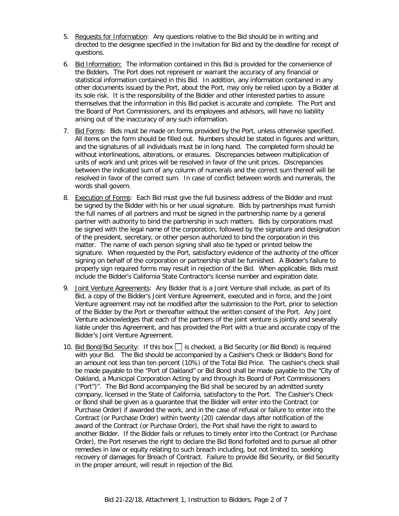- 5. Requests for Information: Any questions relative to the Bid should be in writing and directed to the designee specified in the Invitation for Bid and by the deadline for receipt of questions.
- 6. Bid Information: The information contained in this Bid is provided for the convenience of the Bidders. The Port does not represent or warrant the accuracy of any financial or statistical information contained in this Bid. In addition, any information contained in any other documents issued by the Port, about the Port, may only be relied upon by a Bidder at its sole risk. It is the responsibility of the Bidder and other interested parties to assure themselves that the information in this Bid packet is accurate and complete. The Port and the Board of Port Commissioners, and its employees and advisors, will have no liability arising out of the inaccuracy of any such information.
- 7. Bid Forms: Bids must be made on forms provided by the Port, unless otherwise specified. All items on the form should be filled out. Numbers should be stated in figures and written, and the signatures of all individuals must be in long hand. The completed form should be without interlineations, alterations, or erasures. Discrepancies between multiplication of units of work and unit prices will be resolved in favor of the unit prices. Discrepancies between the indicated sum of any column of numerals and the correct sum thereof will be resolved in favor of the correct sum. In case of conflict between words and numerals, the words shall govern.
- 8. Execution of Forms: Each Bid must give the full business address of the Bidder and must be signed by the Bidder with his or her usual signature. Bids by partnerships must furnish the full names of all partners and must be signed in the partnership name by a general partner with authority to bind the partnership in such matters. Bids by corporations must be signed with the legal name of the corporation, followed by the signature and designation of the president, secretary, or other person authorized to bind the corporation in this matter. The name of each person signing shall also be typed or printed below the signature. When requested by the Port, satisfactory evidence of the authority of the officer signing on behalf of the corporation or partnership shall be furnished. A Bidder's failure to properly sign required forms may result in rejection of the Bid. When applicable, Bids must include the Bidder's California State Contractor's license number and expiration date.
- 9. Joint Venture Agreements: Any Bidder that is a Joint Venture shall include, as part of its Bid, a copy of the Bidder's Joint Venture Agreement, executed and in force, and the Joint Venture agreement may not be modified after the submission to the Port, prior to selection of the Bidder by the Port or thereafter without the written consent of the Port. Any Joint Venture acknowledges that each of the partners of the joint venture is jointly and severally liable under this Agreement, and has provided the Port with a true and accurate copy of the Bidder's Joint Venture Agreement.
- 10. Bid Bond/Bid Security: If this box  $\Box$  is checked, a Bid Security (or Bid Bond) is required with your Bid. The Bid should be accompanied by a Cashier's Check or Bidder's Bond for an amount not less than ten percent (10%) of the Total Bid Price. The cashier's check shall be made payable to the "Port of Oakland" or Bid Bond shall be made payable to the "City of Oakland, a Municipal Corporation Acting by and through its Board of Port Commissioners ("Port")". The Bid Bond accompanying the Bid shall be secured by an admitted surety company, licensed in the State of California, satisfactory to the Port. The Cashier's Check or Bond shall be given as a guarantee that the Bidder will enter into the Contract (or Purchase Order) if awarded the work, and in the case of refusal or failure to enter into the Contract (or Purchase Order) within twenty (20) calendar days after notification of the award of the Contract (or Purchase Order), the Port shall have the right to award to another Bidder. If the Bidder fails or refuses to timely enter into the Contract (or Purchase Order), the Port reserves the right to declare the Bid Bond forfeited and to pursue all other remedies in law or equity relating to such breach including, but not limited to, seeking recovery of damages for Breach of Contract. Failure to provide Bid Security, or Bid Security in the proper amount, will result in rejection of the Bid.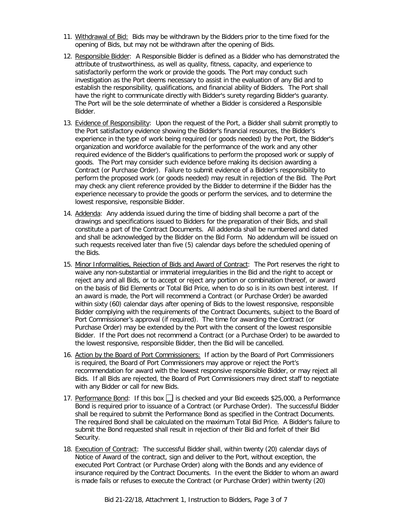- 11. Withdrawal of Bid: Bids may be withdrawn by the Bidders prior to the time fixed for the opening of Bids, but may not be withdrawn after the opening of Bids.
- 12. Responsible Bidder: A Responsible Bidder is defined as a Bidder who has demonstrated the attribute of trustworthiness, as well as quality, fitness, capacity, and experience to satisfactorily perform the work or provide the goods. The Port may conduct such investigation as the Port deems necessary to assist in the evaluation of any Bid and to establish the responsibility, qualifications, and financial ability of Bidders. The Port shall have the right to communicate directly with Bidder's surety regarding Bidder's guaranty. The Port will be the sole determinate of whether a Bidder is considered a Responsible Bidder.
- 13. Evidence of Responsibility: Upon the request of the Port, a Bidder shall submit promptly to the Port satisfactory evidence showing the Bidder's financial resources, the Bidder's experience in the type of work being required (or goods needed) by the Port, the Bidder's organization and workforce available for the performance of the work and any other required evidence of the Bidder's qualifications to perform the proposed work or supply of goods. The Port may consider such evidence before making its decision awarding a Contract (or Purchase Order). Failure to submit evidence of a Bidder's responsibility to perform the proposed work (or goods needed) may result in rejection of the Bid. The Port may check any client reference provided by the Bidder to determine if the Bidder has the experience necessary to provide the goods or perform the services, and to determine the lowest responsive, responsible Bidder.
- 14. Addenda: Any addenda issued during the time of bidding shall become a part of the drawings and specifications issued to Bidders for the preparation of their Bids, and shall constitute a part of the Contract Documents. All addenda shall be numbered and dated and shall be acknowledged by the Bidder on the Bid Form. No addendum will be issued on such requests received later than five (5) calendar days before the scheduled opening of the Bids.
- 15. Minor Informalities, Rejection of Bids and Award of Contract: The Port reserves the right to waive any non-substantial or immaterial irregularities in the Bid and the right to accept or reject any and all Bids, or to accept or reject any portion or combination thereof, or award on the basis of Bid Elements or Total Bid Price, when to do so is in its own best interest. If an award is made, the Port will recommend a Contract (or Purchase Order) be awarded within sixty (60) calendar days after opening of Bids to the lowest responsive, responsible Bidder complying with the requirements of the Contract Documents, subject to the Board of Port Commissioner's approval (if required). The time for awarding the Contract (or Purchase Order) may be extended by the Port with the consent of the lowest responsible Bidder. If the Port does not recommend a Contract (or a Purchase Order) to be awarded to the lowest responsive, responsible Bidder, then the Bid will be cancelled.
- 16. Action by the Board of Port Commissioners: If action by the Board of Port Commissioners is required, the Board of Port Commissioners may approve or reject the Port's recommendation for award with the lowest responsive responsible Bidder, or may reject all Bids. If all Bids are rejected, the Board of Port Commissioners may direct staff to negotiate with any Bidder or call for new Bids.
- 17. Performance Bond: If this box  $\Box$  is checked and your Bid exceeds \$25,000, a Performance Bond is required prior to issuance of a Contract (or Purchase Order). The successful Bidder shall be required to submit the Performance Bond as specified in the Contract Documents. The required Bond shall be calculated on the maximum Total Bid Price. A Bidder's failure to submit the Bond requested shall result in rejection of their Bid and forfeit of their Bid Security.
- 18. Execution of Contract: The successful Bidder shall, within twenty (20) calendar days of Notice of Award of the contract, sign and deliver to the Port, without exception, the executed Port Contract (or Purchase Order) along with the Bonds and any evidence of insurance required by the Contract Documents. In the event the Bidder to whom an award is made fails or refuses to execute the Contract (or Purchase Order) within twenty (20)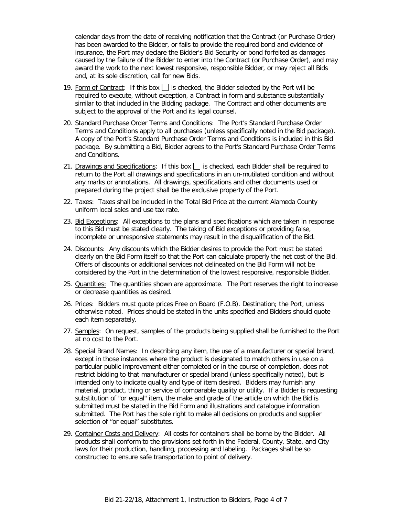calendar days from the date of receiving notification that the Contract (or Purchase Order) has been awarded to the Bidder, or fails to provide the required bond and evidence of insurance, the Port may declare the Bidder's Bid Security or bond forfeited as damages caused by the failure of the Bidder to enter into the Contract (or Purchase Order), and may award the work to the next lowest responsive, responsible Bidder, or may reject all Bids and, at its sole discretion, call for new Bids.

- 19. Form of Contract: If this box  $\Box$  is checked, the Bidder selected by the Port will be required to execute, without exception, a Contract in form and substance substantially similar to that included in the Bidding package. The Contract and other documents are subject to the approval of the Port and its legal counsel.
- 20. Standard Purchase Order Terms and Conditions: The Port's Standard Purchase Order Terms and Conditions apply to all purchases (unless specifically noted in the Bid package). A copy of the Port's Standard Purchase Order Terms and Conditions is included in this Bid package. By submitting a Bid, Bidder agrees to the Port's Standard Purchase Order Terms and Conditions.
- 21. Drawings and Specifications: If this box  $\Box$  is checked, each Bidder shall be required to return to the Port all drawings and specifications in an un-mutilated condition and without any marks or annotations. All drawings, specifications and other documents used or prepared during the project shall be the exclusive property of the Port.
- 22. Taxes: Taxes shall be included in the Total Bid Price at the current Alameda County uniform local sales and use tax rate.
- 23. Bid Exceptions: All exceptions to the plans and specifications which are taken in response to this Bid must be stated clearly. The taking of Bid exceptions or providing false, incomplete or unresponsive statements may result in the disqualification of the Bid.
- 24. Discounts: Any discounts which the Bidder desires to provide the Port must be stated clearly on the Bid Form itself so that the Port can calculate properly the net cost of the Bid. Offers of discounts or additional services not delineated on the Bid Form will not be considered by the Port in the determination of the lowest responsive, responsible Bidder.
- 25. Quantities: The quantities shown are approximate. The Port reserves the right to increase or decrease quantities as desired.
- 26. Prices: Bidders must quote prices Free on Board (F.O.B). Destination; the Port, unless otherwise noted. Prices should be stated in the units specified and Bidders should quote each item separately.
- 27. Samples: On request, samples of the products being supplied shall be furnished to the Port at no cost to the Port.
- 28. Special Brand Names: In describing any item, the use of a manufacturer or special brand, except in those instances where the product is designated to match others in use on a particular public improvement either completed or in the course of completion, does not restrict bidding to that manufacturer or special brand (unless specifically noted), but is intended only to indicate quality and type of item desired. Bidders may furnish any material, product, thing or service of comparable quality or utility. If a Bidder is requesting substitution of "or equal" item, the make and grade of the article on which the Bid is submitted must be stated in the Bid Form and illustrations and catalogue information submitted. The Port has the sole right to make all decisions on products and supplier selection of "or equal" substitutes.
- 29. Container Costs and Delivery: All costs for containers shall be borne by the Bidder. All products shall conform to the provisions set forth in the Federal, County, State, and City laws for their production, handling, processing and labeling. Packages shall be so constructed to ensure safe transportation to point of delivery.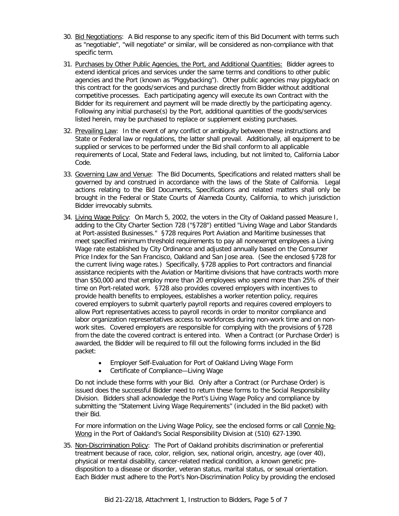- 30. Bid Negotiations: A Bid response to any specific item of this Bid Document with terms such as "negotiable", "will negotiate" or similar, will be considered as non-compliance with that specific term.
- 31. Purchases by Other Public Agencies, the Port, and Additional Quantities: Bidder agrees to extend identical prices and services under the same terms and conditions to other public agencies and the Port (known as "Piggybacking"). Other public agencies may piggyback on this contract for the goods/services and purchase directly from Bidder without additional competitive processes. Each participating agency will execute its own Contract with the Bidder for its requirement and payment will be made directly by the participating agency. Following any initial purchase(s) by the Port, additional quantities of the goods/services listed herein, may be purchased to replace or supplement existing purchases.
- 32. Prevailing Law: In the event of any conflict or ambiguity between these instructions and State or Federal law or regulations, the latter shall prevail. Additionally, all equipment to be supplied or services to be performed under the Bid shall conform to all applicable requirements of Local, State and Federal laws, including, but not limited to, California Labor Code.
- 33. Governing Law and Venue: The Bid Documents, Specifications and related matters shall be governed by and construed in accordance with the laws of the State of California. Legal actions relating to the Bid Documents, Specifications and related matters shall only be brought in the Federal or State Courts of Alameda County, California, to which jurisdiction Bidder irrevocably submits.
- 34. Living Wage Policy: On March 5, 2002, the voters in the City of Oakland passed Measure I, adding to the City Charter Section 728 ("§728") entitled "Living Wage and Labor Standards at Port-assisted Businesses." §728 requires Port Aviation and Maritime businesses that meet specified minimum threshold requirements to pay all nonexempt employees a Living Wage rate established by City Ordinance and adjusted annually based on the Consumer Price Index for the San Francisco, Oakland and San Jose area. (See the enclosed §728 for the current living wage rates.) Specifically, §728 applies to Port contractors and financial assistance recipients with the Aviation or Maritime divisions that have contracts worth more than \$50,000 and that employ more than 20 employees who spend more than 25% of their time on Port-related work. §728 also provides covered employers with incentives to provide health benefits to employees, establishes a worker retention policy, requires covered employers to submit quarterly payroll reports and requires covered employers to allow Port representatives access to payroll records in order to monitor compliance and labor organization representatives access to workforces during non-work time and on nonwork sites. Covered employers are responsible for complying with the provisions of §728 from the date the covered contract is entered into. When a Contract (or Purchase Order) is awarded, the Bidder will be required to fill out the following forms included in the Bid packet:
	- Employer Self-Evaluation for Port of Oakland Living Wage Form
	- Certificate of Compliance—Living Wage

Do not include these forms with your Bid. Only after a Contract (or Purchase Order) is issued does the successful Bidder need to return these forms to the Social Responsibility Division. Bidders shall acknowledge the Port's Living Wage Policy and compliance by submitting the "Statement Living Wage Requirements" (included in the Bid packet) with their Bid.

For more information on the Living Wage Policy, see the enclosed forms or call Connie Ng-Wong in the Port of Oakland's Social Responsibility Division at (510) 627-1390.

35. Non-Discrimination Policy: The Port of Oakland prohibits discrimination or preferential treatment because of race, color, religion, sex, national origin, ancestry, age (over 40), physical or mental disability, cancer-related medical condition, a known genetic predisposition to a disease or disorder, veteran status, marital status, or sexual orientation. Each Bidder must adhere to the Port's Non-Discrimination Policy by providing the enclosed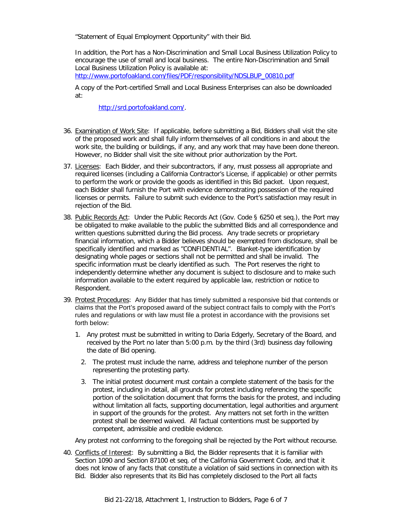"Statement of Equal Employment Opportunity" with their Bid.

In addition, the Port has a Non-Discrimination and Small Local Business Utilization Policy to encourage the use of small and local business. The entire Non-Discrimination and Small Local Business Utilization Policy is available at:

[http://www.portofoakland.com/files/PDF/responsibility/NDSLBUP\\_00810.pdf](http://www.portofoakland.com/files/PDF/responsibility/NDSLBUP_00810.pdf)

A copy of the Port-certified Small and Local Business Enterprises can also be downloaded at:

[http://srd.portofoakland.com/.](http://srd.portofoakland.com/)

- 36. Examination of Work Site: If applicable, before submitting a Bid, Bidders shall visit the site of the proposed work and shall fully inform themselves of all conditions in and about the work site, the building or buildings, if any, and any work that may have been done thereon. However, no Bidder shall visit the site without prior authorization by the Port.
- 37. Licenses: Each Bidder, and their subcontractors, if any, must possess all appropriate and required licenses (including a California Contractor's License, if applicable) or other permits to perform the work or provide the goods as identified in this Bid packet. Upon request, each Bidder shall furnish the Port with evidence demonstrating possession of the required licenses or permits. Failure to submit such evidence to the Port's satisfaction may result in rejection of the Bid.
- 38. Public Records Act: Under the Public Records Act (Gov. Code § 6250 et seq.), the Port may be obligated to make available to the public the submitted Bids and all correspondence and written questions submitted during the Bid process. Any trade secrets or proprietary financial information, which a Bidder believes should be exempted from disclosure, shall be specifically identified and marked as "CONFIDENTIAL". Blanket-type identification by designating whole pages or sections shall not be permitted and shall be invalid. The specific information must be clearly identified as such. The Port reserves the right to independently determine whether any document is subject to disclosure and to make such information available to the extent required by applicable law, restriction or notice to Respondent.
- 39. Protest Procedures:Any Bidder that has timely submitted a responsive bid that contends or claims that the Port's proposed award of the subject contract fails to comply with the Port's rules and regulations or with law must file a protest in accordance with the provisions set forth below:
	- 1. Any protest must be submitted in writing to Daria Edgerly, Secretary of the Board, and received by the Port no later than 5:00 p.m. by the third (3rd) business day following the date of Bid opening.
		- 2. The protest must include the name, address and telephone number of the person representing the protesting party.
		- 3. The initial protest document must contain a complete statement of the basis for the protest, including in detail, all grounds for protest including referencing the specific portion of the solicitation document that forms the basis for the protest, and including without limitation all facts, supporting documentation, legal authorities and argument in support of the grounds for the protest. Any matters not set forth in the written protest shall be deemed waived. All factual contentions must be supported by competent, admissible and credible evidence.

Any protest not conforming to the foregoing shall be rejected by the Port without recourse.

40. Conflicts of Interest: By submitting a Bid, the Bidder represents that it is familiar with Section 1090 and Section 87100 et seq. of the California Government Code, and that it does not know of any facts that constitute a violation of said sections in connection with its Bid. Bidder also represents that its Bid has completely disclosed to the Port all facts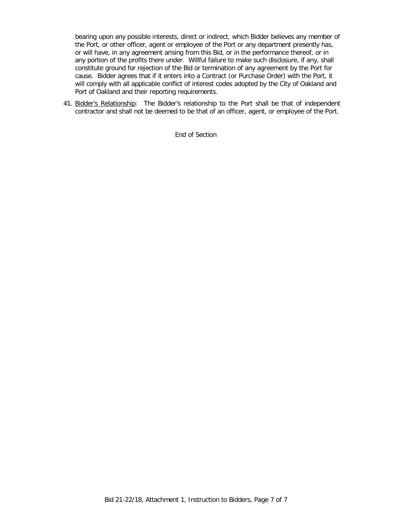bearing upon any possible interests, direct or indirect, which Bidder believes any member of the Port, or other officer, agent or employee of the Port or any department presently has, or will have, in any agreement arising from this Bid, or in the performance thereof, or in any portion of the profits there under. Willful failure to make such disclosure, if any, shall constitute ground for rejection of the Bid or termination of any agreement by the Port for cause. Bidder agrees that if it enters into a Contract (or Purchase Order) with the Port, it will comply with all applicable conflict of interest codes adopted by the City of Oakland and Port of Oakland and their reporting requirements.

41. Bidder's Relationship: The Bidder's relationship to the Port shall be that of independent contractor and shall not be deemed to be that of an officer, agent, or employee of the Port.

End of Section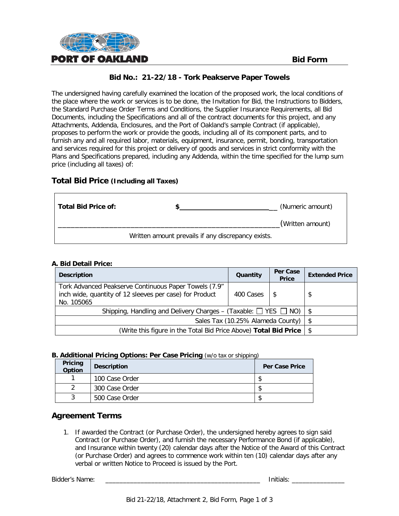

The undersigned having carefully examined the location of the proposed work, the local conditions of the place where the work or services is to be done, the Invitation for Bid, the Instructions to Bidders, the Standard Purchase Order Terms and Conditions, the Supplier Insurance Requirements, all Bid Documents, including the Specifications and all of the contract documents for this project, and any Attachments, Addenda, Enclosures, and the Port of Oakland's sample Contract (if applicable), proposes to perform the work or provide the goods, including all of its component parts, and to furnish any and all required labor, materials, equipment, insurance, permit, bonding, transportation and services required for this project or delivery of goods and services in strict conformity with the Plans and Specifications prepared, including any Addenda, within the time specified for the lump sum price (including all taxes) of:

#### **Total Bid Price (Including all Taxes)**

| Total Bid Price of: |                                                    | (Numeric amount) |
|---------------------|----------------------------------------------------|------------------|
|                     |                                                    | (Written amount) |
|                     | Written amount prevails if any discrepancy exists. |                  |

#### **A. Bid Detail Price:**

| <b>Description</b>                                                                                                             | Quantity  | Per Case<br><b>Price</b> | <b>Extended Price</b> |
|--------------------------------------------------------------------------------------------------------------------------------|-----------|--------------------------|-----------------------|
| Tork Advanced Peakserve Continuous Paper Towels (7.9"<br>inch wide, quantity of 12 sleeves per case) for Product<br>No. 105065 | 400 Cases |                          |                       |
| Shipping, Handling and Delivery Charges – (Taxable: $\Box$ YES $\Box$ NO)   \$                                                 |           |                          |                       |
| Sales Tax (10.25% Alameda County) $\frac{1}{2}$                                                                                |           |                          |                       |
| (Write this figure in the Total Bid Price Above) Total Bid Price   \$                                                          |           |                          |                       |

#### **B. Additional Pricing Options: Per Case Pricing** (w/o tax or shipping)

| Pricing<br>Option | <b>Description</b> | <b>Per Case Price</b> |
|-------------------|--------------------|-----------------------|
|                   | 100 Case Order     |                       |
|                   | 300 Case Order     |                       |
|                   | 500 Case Order     |                       |

# **Agreement Terms**

1. If awarded the Contract (or Purchase Order), the undersigned hereby agrees to sign said Contract (or Purchase Order), and furnish the necessary Performance Bond (if applicable), and Insurance within twenty (20) calendar days after the Notice of the Award of this Contract (or Purchase Order) and agrees to commence work within ten (10) calendar days after any verbal or written Notice to Proceed is issued by the Port.

| Bidder'<br>$\sim$ $\sim$<br>- - -<br>≅ Name. |  | יו ה<br>…ю. |  |
|----------------------------------------------|--|-------------|--|
|----------------------------------------------|--|-------------|--|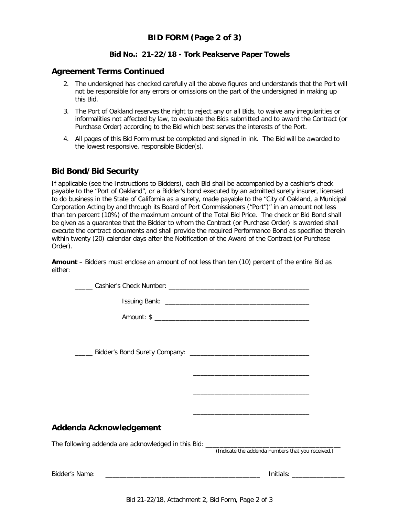# **BID FORM (Page 2 of 3)**

#### **Bid No.: 21-22/18 - Tork Peakserve Paper Towels**

#### **Agreement Terms Continued**

- 2. The undersigned has checked carefully all the above figures and understands that the Port will not be responsible for any errors or omissions on the part of the undersigned in making up this Bid.
- 3. The Port of Oakland reserves the right to reject any or all Bids, to waive any irregularities or informalities not affected by law, to evaluate the Bids submitted and to award the Contract (or Purchase Order) according to the Bid which best serves the interests of the Port.
- 4. All pages of this Bid Form must be completed and signed in ink. The Bid will be awarded to the lowest responsive, responsible Bidder(s).

#### **Bid Bond/Bid Security**

If applicable (see the Instructions to Bidders), each Bid shall be accompanied by a cashier's check payable to the "Port of Oakland", or a Bidder's bond executed by an admitted surety insurer, licensed to do business in the State of California as a surety, made payable to the "City of Oakland, a Municipal Corporation Acting by and through its Board of Port Commissioners ("Port")" in an amount not less than ten percent (10%) of the maximum amount of the Total Bid Price. The check or Bid Bond shall be given as a guarantee that the Bidder to whom the Contract (or Purchase Order) is awarded shall execute the contract documents and shall provide the required Performance Bond as specified therein within twenty (20) calendar days after the Notification of the Award of the Contract (or Purchase Order).

**Amount** – Bidders must enclose an amount of not less than ten (10) percent of the entire Bid as either:

|                         | <u> 1989 - Johann Stoff, amerikansk politiker (d. 1989)</u>                                                          |
|-------------------------|----------------------------------------------------------------------------------------------------------------------|
|                         | <u> 1980 - Andrea Santa Andrea Andrea Andrea Andrea Andrea Andrea Andrea Andrea Andrea Andrea Andrea Andrea Andr</u> |
| Addenda Acknowledgement |                                                                                                                      |
|                         | (Indicate the addenda numbers that you received.)                                                                    |
|                         | $Initials: ____________$                                                                                             |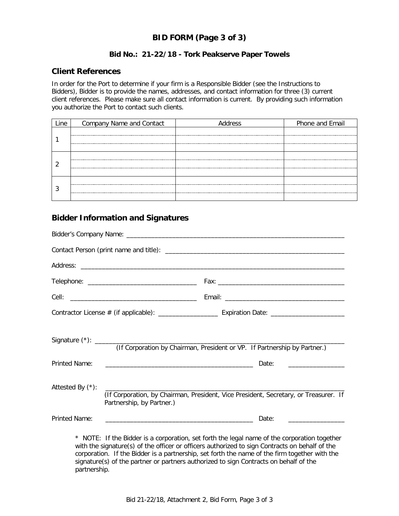# **BID FORM (Page 3 of 3)**

#### **Bid No.: 21-22/18 - Tork Peakserve Paper Towels**

#### **Client References**

In order for the Port to determine if your firm is a Responsible Bidder (see the Instructions to Bidders), Bidder is to provide the names, addresses, and contact information for three (3) current client references. Please make sure all contact information is current. By providing such information you authorize the Port to contact such clients.

| Company Name and Contact | Address | Phone and Email |
|--------------------------|---------|-----------------|
|                          |         |                 |
|                          |         |                 |
|                          |         |                 |

### **Bidder Information and Signatures**

|                  |                                                                                                                   | (If Corporation by Chairman, President or VP. If Partnership by Partner.)                                                                                                                      |  |
|------------------|-------------------------------------------------------------------------------------------------------------------|------------------------------------------------------------------------------------------------------------------------------------------------------------------------------------------------|--|
| Printed Name:    |                                                                                                                   |                                                                                                                                                                                                |  |
| Attested By (*): | (If Corporation, by Chairman, President, Vice President, Secretary, or Treasurer. If<br>Partnership, by Partner.) |                                                                                                                                                                                                |  |
| Printed Name:    |                                                                                                                   | Date:                                                                                                                                                                                          |  |
|                  |                                                                                                                   | * NOTE: If the Bidder is a corporation, set forth the legal name of the corporation together<br>with the signature(s) of the officer or officers authorized to sign Contracts on behalf of the |  |

with the signature(s) of the officer or officers authorized to sign Contracts on behalf of the corporation. If the Bidder is a partnership, set forth the name of the firm together with the signature(s) of the partner or partners authorized to sign Contracts on behalf of the partnership.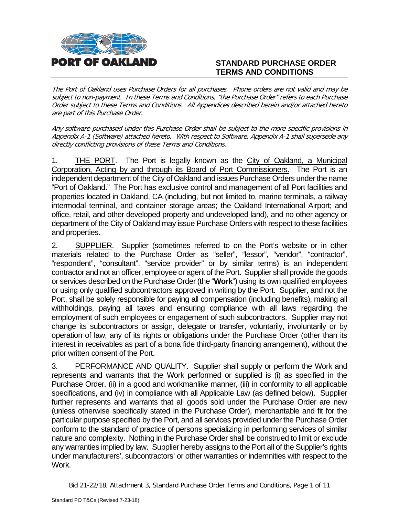

# **STANDARD PURCHASE ORDER TERMS AND CONDITIONS**

The Port of Oakland uses Purchase Orders for all purchases. Phone orders are not valid and may be subject to non-payment. In these Terms and Conditions, "the Purchase Order" refers to each Purchase Order subject to these Terms and Conditions. All Appendices described herein and/or attached hereto are part of this Purchase Order.

Any software purchased under this Purchase Order shall be subject to the more specific provisions in Appendix A-1 (Software) attached hereto. With respect to Software, Appendix A-1 shall supersede any directly conflicting provisions of these Terms and Conditions.

1. THE PORT. The Port is legally known as the City of Oakland, a Municipal Corporation, Acting by and through its Board of Port Commissioners. The Port is an independent department of the City of Oakland and issues Purchase Orders under the name "Port of Oakland." The Port has exclusive control and management of all Port facilities and properties located in Oakland, CA (including, but not limited to, marine terminals, a railway intermodal terminal, and container storage areas; the Oakland International Airport; and office, retail, and other developed property and undeveloped land), and no other agency or department of the City of Oakland may issue Purchase Orders with respect to these facilities and properties.

2. SUPPLIER. Supplier (sometimes referred to on the Port's website or in other materials related to the Purchase Order as "seller", "lessor", "vendor", "contractor", "respondent", "consultant", "service provider" or by similar terms) is an independent contractor and not an officer, employee or agent of the Port. Supplier shall provide the goods or services described on the Purchase Order (the "**Work**") using its own qualified employees or using only qualified subcontractors approved in writing by the Port. Supplier, and not the Port, shall be solely responsible for paying all compensation (including benefits), making all withholdings, paying all taxes and ensuring compliance with all laws regarding the employment of such employees or engagement of such subcontractors. Supplier may not change its subcontractors or assign, delegate or transfer, voluntarily, involuntarily or by operation of law, any of its rights or obligations under the Purchase Order (other than its interest in receivables as part of a bona fide third-party financing arrangement), without the prior written consent of the Port.

3. PERFORMANCE AND QUALITY. Supplier shall supply or perform the Work and represents and warrants that the Work performed or supplied is (i) as specified in the Purchase Order, (ii) in a good and workmanlike manner, (iii) in conformity to all applicable specifications, and (iv) in compliance with all Applicable Law (as defined below). Supplier further represents and warrants that all goods sold under the Purchase Order are new (unless otherwise specifically stated in the Purchase Order), merchantable and fit for the particular purpose specified by the Port, and all services provided under the Purchase Order conform to the standard of practice of persons specializing in performing services of similar nature and complexity. Nothing in the Purchase Order shall be construed to limit or exclude any warranties implied by law. Supplier hereby assigns to the Port all of the Supplier's rights under manufacturers', subcontractors' or other warranties or indemnities with respect to the Work.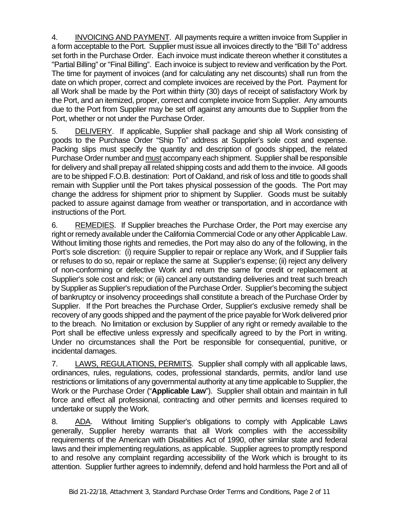4. INVOICING AND PAYMENT. All payments require a written invoice from Supplier in a form acceptable to the Port. Supplier must issue all invoices directly to the "Bill To" address set forth in the Purchase Order. Each invoice must indicate thereon whether it constitutes a "Partial Billing" or "Final Billing". Each invoice is subject to review and verification by the Port. The time for payment of invoices (and for calculating any net discounts) shall run from the date on which proper, correct and complete invoices are received by the Port. Payment for all Work shall be made by the Port within thirty (30) days of receipt of satisfactory Work by the Port, and an itemized, proper, correct and complete invoice from Supplier. Any amounts due to the Port from Supplier may be set off against any amounts due to Supplier from the Port, whether or not under the Purchase Order.

5. DELIVERY. If applicable, Supplier shall package and ship all Work consisting of goods to the Purchase Order "Ship To" address at Supplier's sole cost and expense. Packing slips must specify the quantity and description of goods shipped, the related Purchase Order number and must accompany each shipment. Supplier shall be responsible for delivery and shall prepay all related shipping costs and add them to the invoice. All goods are to be shipped F.O.B. destination: Port of Oakland, and risk of loss and title to goods shall remain with Supplier until the Port takes physical possession of the goods. The Port may change the address for shipment prior to shipment by Supplier. Goods must be suitably packed to assure against damage from weather or transportation, and in accordance with instructions of the Port.

6. REMEDIES. If Supplier breaches the Purchase Order, the Port may exercise any right or remedy available under the California Commercial Code or any other Applicable Law. Without limiting those rights and remedies, the Port may also do any of the following, in the Port's sole discretion: (i) require Supplier to repair or replace any Work, and if Supplier fails or refuses to do so, repair or replace the same at Supplier's expense; (ii) reject any delivery of non-conforming or defective Work and return the same for credit or replacement at Supplier's sole cost and risk; or (iii) cancel any outstanding deliveries and treat such breach by Supplier as Supplier's repudiation of the Purchase Order. Supplier's becoming the subject of bankruptcy or insolvency proceedings shall constitute a breach of the Purchase Order by Supplier. If the Port breaches the Purchase Order, Supplier's exclusive remedy shall be recovery of any goods shipped and the payment of the price payable for Work delivered prior to the breach. No limitation or exclusion by Supplier of any right or remedy available to the Port shall be effective unless expressly and specifically agreed to by the Port in writing. Under no circumstances shall the Port be responsible for consequential, punitive, or incidental damages.

7. LAWS, REGULATIONS, PERMITS. Supplier shall comply with all applicable laws, ordinances, rules, regulations, codes, professional standards, permits, and/or land use restrictions or limitations of any governmental authority at any time applicable to Supplier, the Work or the Purchase Order ("**Applicable Law**"). Supplier shall obtain and maintain in full force and effect all professional, contracting and other permits and licenses required to undertake or supply the Work.

8. ADA. Without limiting Supplier's obligations to comply with Applicable Laws generally, Supplier hereby warrants that all Work complies with the accessibility requirements of the American with Disabilities Act of 1990, other similar state and federal laws and their implementing regulations, as applicable. Supplier agrees to promptly respond to and resolve any complaint regarding accessibility of the Work which is brought to its attention. Supplier further agrees to indemnify, defend and hold harmless the Port and all of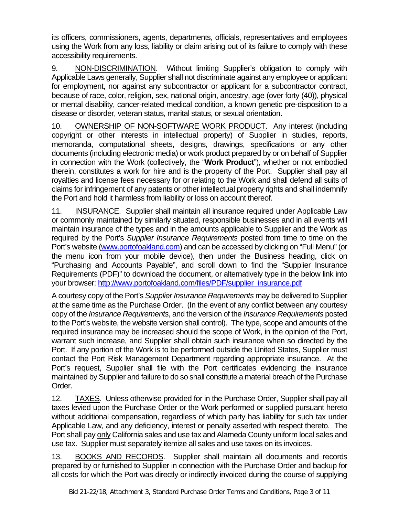its officers, commissioners, agents, departments, officials, representatives and employees using the Work from any loss, liability or claim arising out of its failure to comply with these accessibility requirements.

9. NON-DISCRIMINATION. Without limiting Supplier's obligation to comply with Applicable Laws generally, Supplier shall not discriminate against any employee or applicant for employment, nor against any subcontractor or applicant for a subcontractor contract, because of race, color, religion, sex, national origin, ancestry, age (over forty (40)), physical or mental disability, cancer-related medical condition, a known genetic pre-disposition to a disease or disorder, veteran status, marital status, or sexual orientation.

10. OWNERSHIP OF NON-SOFTWARE WORK PRODUCT. Any interest (including copyright or other interests in intellectual property) of Supplier in studies, reports, memoranda, computational sheets, designs, drawings, specifications or any other documents (including electronic media) or work product prepared by or on behalf of Supplier in connection with the Work (collectively, the "**Work Product**"), whether or not embodied therein, constitutes a work for hire and is the property of the Port. Supplier shall pay all royalties and license fees necessary for or relating to the Work and shall defend all suits of claims for infringement of any patents or other intellectual property rights and shall indemnify the Port and hold it harmless from liability or loss on account thereof.

11. INSURANCE. Supplier shall maintain all insurance required under Applicable Law or commonly maintained by similarly situated, responsible businesses and in all events will maintain insurance of the types and in the amounts applicable to Supplier and the Work as required by the Port's *Supplier Insurance Requirements* posted from time to time on the Port's website [\(www.portofoakland.com\)](http://www.portofoakland.com/) and can be accessed by clicking on "Full Menu" (or the menu icon from your mobile device), then under the Business heading, click on "Purchasing and Accounts Payable", and scroll down to find the "Supplier Insurance Requirements (PDF)" to download the document, or alternatively type in the below link into your browser: [http://www.portofoakland.com/files/PDF/supplier\\_insurance.pdf](http://www.portofoakland.com/files/PDF/supplier_insurance.pdf)

A courtesy copy of the Port's *Supplier Insurance Requirements* may be delivered to Supplier at the same time as the Purchase Order. (In the event of any conflict between any courtesy copy of the *Insurance Requirements*, and the version of the *Insurance Requirements* posted to the Port's website, the website version shall control). The type, scope and amounts of the required insurance may be increased should the scope of Work, in the opinion of the Port, warrant such increase, and Supplier shall obtain such insurance when so directed by the Port. If any portion of the Work is to be performed outside the United States, Supplier must contact the Port Risk Management Department regarding appropriate insurance. At the Port's request, Supplier shall file with the Port certificates evidencing the insurance maintained by Supplier and failure to do so shall constitute a material breach of the Purchase Order.

12. TAXES. Unless otherwise provided for in the Purchase Order, Supplier shall pay all taxes levied upon the Purchase Order or the Work performed or supplied pursuant hereto without additional compensation, regardless of which party has liability for such tax under Applicable Law, and any deficiency, interest or penalty asserted with respect thereto. The Port shall pay only California sales and use tax and Alameda County uniform local sales and use tax. Supplier must separately itemize all sales and use taxes on its invoices.

13. BOOKS AND RECORDS. Supplier shall maintain all documents and records prepared by or furnished to Supplier in connection with the Purchase Order and backup for all costs for which the Port was directly or indirectly invoiced during the course of supplying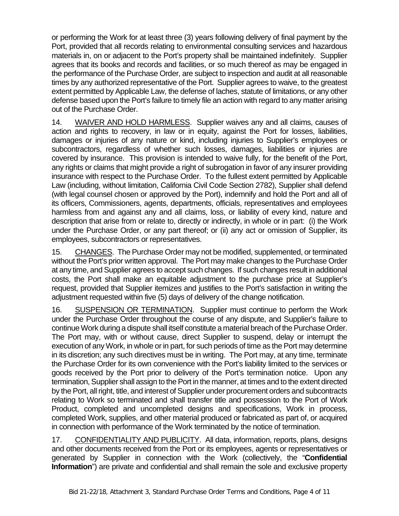or performing the Work for at least three (3) years following delivery of final payment by the Port, provided that all records relating to environmental consulting services and hazardous materials in, on or adjacent to the Port's property shall be maintained indefinitely. Supplier agrees that its books and records and facilities, or so much thereof as may be engaged in the performance of the Purchase Order, are subject to inspection and audit at all reasonable times by any authorized representative of the Port. Supplier agrees to waive, to the greatest extent permitted by Applicable Law, the defense of laches, statute of limitations, or any other defense based upon the Port's failure to timely file an action with regard to any matter arising out of the Purchase Order.

14. WAIVER AND HOLD HARMLESS. Supplier waives any and all claims, causes of action and rights to recovery, in law or in equity, against the Port for losses, liabilities, damages or injuries of any nature or kind, including injuries to Supplier's employees or subcontractors, regardless of whether such losses, damages, liabilities or injuries are covered by insurance. This provision is intended to waive fully, for the benefit of the Port, any rights or claims that might provide a right of subrogation in favor of any insurer providing insurance with respect to the Purchase Order. To the fullest extent permitted by Applicable Law (including, without limitation, California Civil Code Section 2782), Supplier shall defend (with legal counsel chosen or approved by the Port), indemnify and hold the Port and all of its officers, Commissioners, agents, departments, officials, representatives and employees harmless from and against any and all claims, loss, or liability of every kind, nature and description that arise from or relate to, directly or indirectly, in whole or in part: (i) the Work under the Purchase Order, or any part thereof; or (ii) any act or omission of Supplier, its employees, subcontractors or representatives.

15. CHANGES. The Purchase Order may not be modified, supplemented, or terminated without the Port's prior written approval. The Port may make changes to the Purchase Order at any time, and Supplier agrees to accept such changes. If such changes result in additional costs, the Port shall make an equitable adjustment to the purchase price at Supplier's request, provided that Supplier itemizes and justifies to the Port's satisfaction in writing the adjustment requested within five (5) days of delivery of the change notification.

16. SUSPENSION OR TERMINATION. Supplier must continue to perform the Work under the Purchase Order throughout the course of any dispute, and Supplier's failure to continue Work during a dispute shall itself constitute a material breach of the Purchase Order. The Port may, with or without cause, direct Supplier to suspend, delay or interrupt the execution of any Work, in whole or in part, for such periods of time as the Port may determine in its discretion; any such directives must be in writing. The Port may, at any time, terminate the Purchase Order for its own convenience with the Port's liability limited to the services or goods received by the Port prior to delivery of the Port's termination notice. Upon any termination, Supplier shall assign to the Port in the manner, at times and to the extent directed by the Port, all right, title, and interest of Supplier under procurement orders and subcontracts relating to Work so terminated and shall transfer title and possession to the Port of Work Product, completed and uncompleted designs and specifications, Work in process, completed Work, supplies, and other material produced or fabricated as part of, or acquired in connection with performance of the Work terminated by the notice of termination.

17. CONFIDENTIALITY AND PUBLICITY. All data, information, reports, plans, designs and other documents received from the Port or its employees, agents or representatives or generated by Supplier in connection with the Work (collectively, the "**Confidential Information**") are private and confidential and shall remain the sole and exclusive property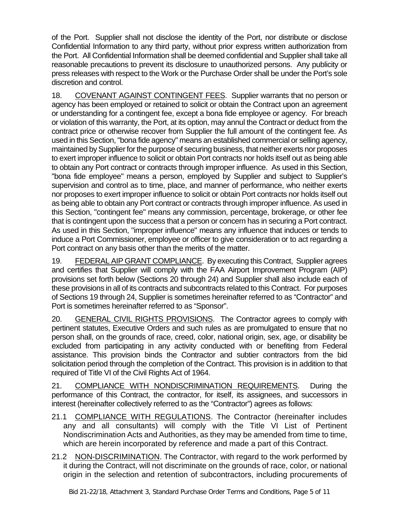of the Port. Supplier shall not disclose the identity of the Port, nor distribute or disclose Confidential Information to any third party, without prior express written authorization from the Port. All Confidential Information shall be deemed confidential and Supplier shall take all reasonable precautions to prevent its disclosure to unauthorized persons. Any publicity or press releases with respect to the Work or the Purchase Order shall be under the Port's sole discretion and control.

18. COVENANT AGAINST CONTINGENT FEES. Supplier warrants that no person or agency has been employed or retained to solicit or obtain the Contract upon an agreement or understanding for a contingent fee, except a bona fide employee or agency. For breach or violation of this warranty, the Port, at its option, may annul the Contract or deduct from the contract price or otherwise recover from Supplier the full amount of the contingent fee. As used in this Section, "bona fide agency" means an established commercial or selling agency, maintained by Supplier for the purpose of securing business, that neither exerts nor proposes to exert improper influence to solicit or obtain Port contracts nor holds itself out as being able to obtain any Port contract or contracts through improper influence. As used in this Section, "bona fide employee" means a person, employed by Supplier and subject to Supplier's supervision and control as to time, place, and manner of performance, who neither exerts nor proposes to exert improper influence to solicit or obtain Port contracts nor holds itself out as being able to obtain any Port contract or contracts through improper influence. As used in this Section, "contingent fee" means any commission, percentage, brokerage, or other fee that is contingent upon the success that a person or concern has in securing a Port contract. As used in this Section, "improper influence" means any influence that induces or tends to induce a Port Commissioner, employee or officer to give consideration or to act regarding a Port contract on any basis other than the merits of the matter.

19. FEDERAL AIP GRANT COMPLIANCE. By executing this Contract, Supplier agrees and certifies that Supplier will comply with the FAA Airport Improvement Program (AIP) provisions set forth below (Sections 20 through 24) and Supplier shall also include each of these provisions in all of its contracts and subcontracts related to this Contract. For purposes of Sections 19 through 24, Supplier is sometimes hereinafter referred to as "Contractor" and Port is sometimes hereinafter referred to as "Sponsor".

20. GENERAL CIVIL RIGHTS PROVISIONS.The Contractor agrees to comply with pertinent statutes, Executive Orders and such rules as are promulgated to ensure that no person shall, on the grounds of race, creed, color, national origin, sex, age, or disability be excluded from participating in any activity conducted with or benefiting from Federal assistance. This provision binds the Contractor and subtier contractors from the bid solicitation period through the completion of the Contract. This provision is in addition to that required of Title VI of the Civil Rights Act of 1964.

21. COMPLIANCE WITH NONDISCRIMINATION REQUIREMENTS. During the performance of this Contract, the contractor, for itself, its assignees, and successors in interest (hereinafter collectively referred to as the "Contractor") agrees as follows:

- 21.1 COMPLIANCE WITH REGULATIONS. The Contractor (hereinafter includes any and all consultants) will comply with the Title VI List of Pertinent Nondiscrimination Acts and Authorities, as they may be amended from time to time, which are herein incorporated by reference and made a part of this Contract.
- 21.2 NON-DISCRIMINATION. The Contractor, with regard to the work performed by it during the Contract, will not discriminate on the grounds of race, color, or national origin in the selection and retention of subcontractors, including procurements of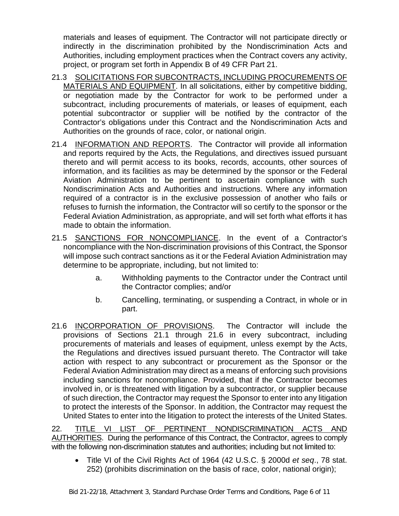materials and leases of equipment. The Contractor will not participate directly or indirectly in the discrimination prohibited by the Nondiscrimination Acts and Authorities, including employment practices when the Contract covers any activity, project, or program set forth in Appendix B of 49 CFR Part 21.

- 21.3 SOLICITATIONS FOR SUBCONTRACTS, INCLUDING PROCUREMENTS OF MATERIALS AND EQUIPMENT. In all solicitations, either by competitive bidding, or negotiation made by the Contractor for work to be performed under a subcontract, including procurements of materials, or leases of equipment, each potential subcontractor or supplier will be notified by the contractor of the Contractor's obligations under this Contract and the Nondiscrimination Acts and Authorities on the grounds of race, color, or national origin.
- 21.4 INFORMATION AND REPORTS. The Contractor will provide all information and reports required by the Acts, the Regulations, and directives issued pursuant thereto and will permit access to its books, records, accounts, other sources of information, and its facilities as may be determined by the sponsor or the Federal Aviation Administration to be pertinent to ascertain compliance with such Nondiscrimination Acts and Authorities and instructions. Where any information required of a contractor is in the exclusive possession of another who fails or refuses to furnish the information, the Contractor will so certify to the sponsor or the Federal Aviation Administration, as appropriate, and will set forth what efforts it has made to obtain the information.
- 21.5 SANCTIONS FOR NONCOMPLIANCE. In the event of a Contractor's noncompliance with the Non-discrimination provisions of this Contract, the Sponsor will impose such contract sanctions as it or the Federal Aviation Administration may determine to be appropriate, including, but not limited to:
	- a. Withholding payments to the Contractor under the Contract until the Contractor complies; and/or
	- b. Cancelling, terminating, or suspending a Contract, in whole or in part.
- 21.6 INCORPORATION OF PROVISIONS.The Contractor will include the provisions of Sections 21.1 through 21.6 in every subcontract, including procurements of materials and leases of equipment, unless exempt by the Acts, the Regulations and directives issued pursuant thereto. The Contractor will take action with respect to any subcontract or procurement as the Sponsor or the Federal Aviation Administration may direct as a means of enforcing such provisions including sanctions for noncompliance. Provided, that if the Contractor becomes involved in, or is threatened with litigation by a subcontractor, or supplier because of such direction, the Contractor may request the Sponsor to enter into any litigation to protect the interests of the Sponsor. In addition, the Contractor may request the United States to enter into the litigation to protect the interests of the United States.

22. TITLE VI LIST OF PERTINENT NONDISCRIMINATION ACTS AND AUTHORITIES. During the performance of this Contract, the Contractor, agrees to comply with the following non-discrimination statutes and authorities; including but not limited to:

• Title VI of the Civil Rights Act of 1964 (42 U.S.C. § 2000d *et seq*., 78 stat. 252) (prohibits discrimination on the basis of race, color, national origin);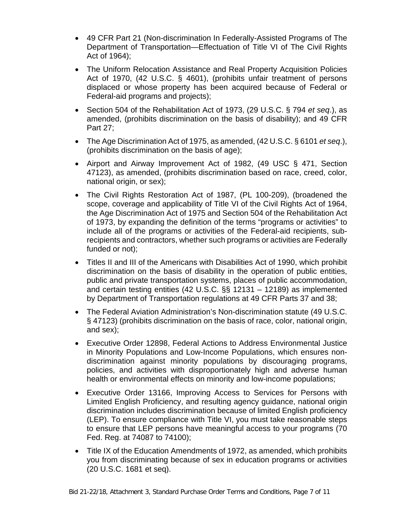- 49 CFR Part 21 (Non-discrimination In Federally-Assisted Programs of The Department of Transportation—Effectuation of Title VI of The Civil Rights Act of 1964);
- The Uniform Relocation Assistance and Real Property Acquisition Policies Act of 1970, (42 U.S.C. § 4601), (prohibits unfair treatment of persons displaced or whose property has been acquired because of Federal or Federal-aid programs and projects);
- Section 504 of the Rehabilitation Act of 1973, (29 U.S.C. § 794 *et seq*.), as amended, (prohibits discrimination on the basis of disability); and 49 CFR Part 27;
- The Age Discrimination Act of 1975, as amended, (42 U.S.C. § 6101 *et seq*.), (prohibits discrimination on the basis of age);
- Airport and Airway Improvement Act of 1982, (49 USC § 471, Section 47123), as amended, (prohibits discrimination based on race, creed, color, national origin, or sex);
- The Civil Rights Restoration Act of 1987, (PL 100-209), (broadened the scope, coverage and applicability of Title VI of the Civil Rights Act of 1964, the Age Discrimination Act of 1975 and Section 504 of the Rehabilitation Act of 1973, by expanding the definition of the terms "programs or activities" to include all of the programs or activities of the Federal-aid recipients, subrecipients and contractors, whether such programs or activities are Federally funded or not);
- Titles II and III of the Americans with Disabilities Act of 1990, which prohibit discrimination on the basis of disability in the operation of public entities, public and private transportation systems, places of public accommodation, and certain testing entities (42 U.S.C. §§ 12131 – 12189) as implemented by Department of Transportation regulations at 49 CFR Parts 37 and 38;
- The Federal Aviation Administration's Non-discrimination statute (49 U.S.C. § 47123) (prohibits discrimination on the basis of race, color, national origin, and sex);
- Executive Order 12898, Federal Actions to Address Environmental Justice in Minority Populations and Low-Income Populations, which ensures nondiscrimination against minority populations by discouraging programs, policies, and activities with disproportionately high and adverse human health or environmental effects on minority and low-income populations;
- Executive Order 13166, Improving Access to Services for Persons with Limited English Proficiency, and resulting agency guidance, national origin discrimination includes discrimination because of limited English proficiency (LEP). To ensure compliance with Title VI, you must take reasonable steps to ensure that LEP persons have meaningful access to your programs (70 Fed. Reg. at 74087 to 74100);
- Title IX of the Education Amendments of 1972, as amended, which prohibits you from discriminating because of sex in education programs or activities (20 U.S.C. 1681 et seq).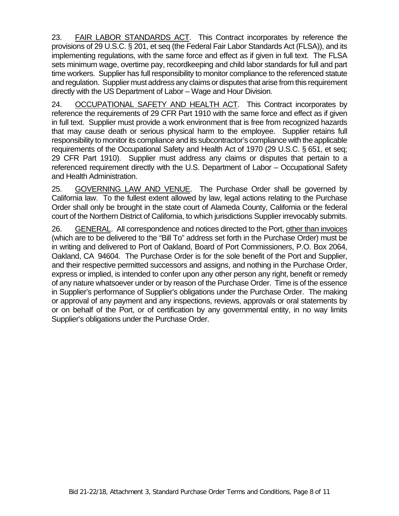23. FAIR LABOR STANDARDS ACT. This Contract incorporates by reference the provisions of 29 U.S.C. § 201, et seq (the Federal Fair Labor Standards Act (FLSA)), and its implementing regulations, with the same force and effect as if given in full text. The FLSA sets minimum wage, overtime pay, recordkeeping and child labor standards for full and part time workers. Supplier has full responsibility to monitor compliance to the referenced statute and regulation. Supplier must address any claims or disputes that arise from this requirement directly with the US Department of Labor – Wage and Hour Division.

24. OCCUPATIONAL SAFETY AND HEALTH ACT.This Contract incorporates by reference the requirements of 29 CFR Part 1910 with the same force and effect as if given in full text. Supplier must provide a work environment that is free from recognized hazards that may cause death or serious physical harm to the employee. Supplier retains full responsibility to monitor its compliance and its subcontractor's compliance with the applicable requirements of the Occupational Safety and Health Act of 1970 (29 U.S.C. § 651, et seq; 29 CFR Part 1910). Supplier must address any claims or disputes that pertain to a referenced requirement directly with the U.S. Department of Labor – Occupational Safety and Health Administration.

25. GOVERNING LAW AND VENUE. The Purchase Order shall be governed by California law. To the fullest extent allowed by law, legal actions relating to the Purchase Order shall only be brought in the state court of Alameda County, California or the federal court of the Northern District of California, to which jurisdictions Supplier irrevocably submits.

26. GENERAL. All correspondence and notices directed to the Port, other than invoices (which are to be delivered to the "Bill To" address set forth in the Purchase Order) must be in writing and delivered to Port of Oakland, Board of Port Commissioners, P.O. Box 2064, Oakland, CA 94604. The Purchase Order is for the sole benefit of the Port and Supplier, and their respective permitted successors and assigns, and nothing in the Purchase Order, express or implied, is intended to confer upon any other person any right, benefit or remedy of any nature whatsoever under or by reason of the Purchase Order. Time is of the essence in Supplier's performance of Supplier's obligations under the Purchase Order. The making or approval of any payment and any inspections, reviews, approvals or oral statements by or on behalf of the Port, or of certification by any governmental entity, in no way limits Supplier's obligations under the Purchase Order.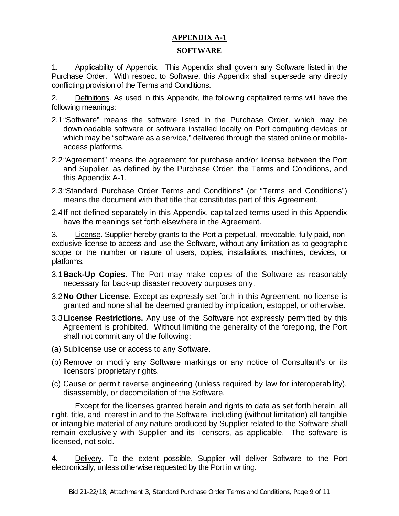# **APPENDIX A-1**

#### **SOFTWARE**

1. Applicability of Appendix. This Appendix shall govern any Software listed in the Purchase Order. With respect to Software, this Appendix shall supersede any directly conflicting provision of the Terms and Conditions.

2. Definitions. As used in this Appendix, the following capitalized terms will have the following meanings:

- 2.1"Software" means the software listed in the Purchase Order, which may be downloadable software or software installed locally on Port computing devices or which may be "software as a service," delivered through the stated online or mobileaccess platforms.
- 2.2"Agreement" means the agreement for purchase and/or license between the Port and Supplier, as defined by the Purchase Order, the Terms and Conditions, and this Appendix A-1.
- 2.3"Standard Purchase Order Terms and Conditions" (or "Terms and Conditions") means the document with that title that constitutes part of this Agreement.
- 2.4If not defined separately in this Appendix, capitalized terms used in this Appendix have the meanings set forth elsewhere in the Agreement.

3. License. Supplier hereby grants to the Port a perpetual, irrevocable, fully-paid, nonexclusive license to access and use the Software, without any limitation as to geographic scope or the number or nature of users, copies, installations, machines, devices, or platforms.

- 3.1**Back-Up Copies.** The Port may make copies of the Software as reasonably necessary for back-up disaster recovery purposes only.
- 3.2**No Other License.** Except as expressly set forth in this Agreement, no license is granted and none shall be deemed granted by implication, estoppel, or otherwise.
- 3.3**License Restrictions.** Any use of the Software not expressly permitted by this Agreement is prohibited. Without limiting the generality of the foregoing, the Port shall not commit any of the following:
- (a) Sublicense use or access to any Software.
- (b) Remove or modify any Software markings or any notice of Consultant's or its licensors' proprietary rights.
- (c) Cause or permit reverse engineering (unless required by law for interoperability), disassembly, or decompilation of the Software.

Except for the licenses granted herein and rights to data as set forth herein, all right, title, and interest in and to the Software, including (without limitation) all tangible or intangible material of any nature produced by Supplier related to the Software shall remain exclusively with Supplier and its licensors, as applicable. The software is licensed, not sold.

4. Delivery. To the extent possible, Supplier will deliver Software to the Port electronically, unless otherwise requested by the Port in writing.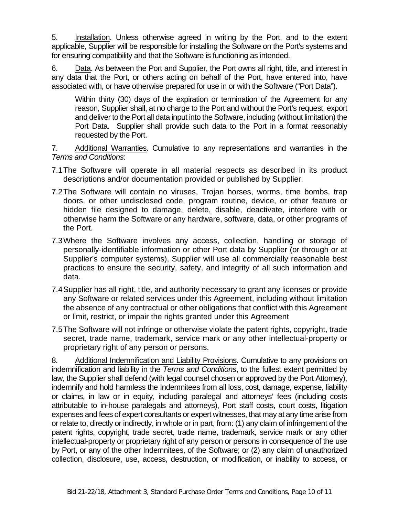5. Installation. Unless otherwise agreed in writing by the Port, and to the extent applicable, Supplier will be responsible for installing the Software on the Port's systems and for ensuring compatibility and that the Software is functioning as intended.

6. Data. As between the Port and Supplier, the Port owns all right, title, and interest in any data that the Port, or others acting on behalf of the Port, have entered into, have associated with, or have otherwise prepared for use in or with the Software ("Port Data").

Within thirty (30) days of the expiration or termination of the Agreement for any reason, Supplier shall, at no charge to the Port and without the Port's request, export and deliver to the Port all data input into the Software, including (without limitation) the Port Data. Supplier shall provide such data to the Port in a format reasonably requested by the Port.

7. Additional Warranties. Cumulative to any representations and warranties in the *Terms and Conditions*:

- 7.1The Software will operate in all material respects as described in its product descriptions and/or documentation provided or published by Supplier.
- 7.2The Software will contain no viruses, Trojan horses, worms, time bombs, trap doors, or other undisclosed code, program routine, device, or other feature or hidden file designed to damage, delete, disable, deactivate, interfere with or otherwise harm the Software or any hardware, software, data, or other programs of the Port.
- 7.3Where the Software involves any access, collection, handling or storage of personally-identifiable information or other Port data by Supplier (or through or at Supplier's computer systems), Supplier will use all commercially reasonable best practices to ensure the security, safety, and integrity of all such information and data.
- 7.4Supplier has all right, title, and authority necessary to grant any licenses or provide any Software or related services under this Agreement, including without limitation the absence of any contractual or other obligations that conflict with this Agreement or limit, restrict, or impair the rights granted under this Agreement
- 7.5The Software will not infringe or otherwise violate the patent rights, copyright, trade secret, trade name, trademark, service mark or any other intellectual-property or proprietary right of any person or persons.

8. Additional Indemnification and Liability Provisions. Cumulative to any provisions on indemnification and liability in the *Terms and Conditions*, to the fullest extent permitted by law, the Supplier shall defend (with legal counsel chosen or approved by the Port Attorney), indemnify and hold harmless the Indemnitees from all loss, cost, damage, expense, liability or claims, in law or in equity, including paralegal and attorneys' fees (including costs attributable to in-house paralegals and attorneys), Port staff costs, court costs, litigation expenses and fees of expert consultants or expert witnesses, that may at any time arise from or relate to, directly or indirectly, in whole or in part, from: (1) any claim of infringement of the patent rights, copyright, trade secret, trade name, trademark, service mark or any other intellectual-property or proprietary right of any person or persons in consequence of the use by Port, or any of the other Indemnitees, of the Software; or (2) any claim of unauthorized collection, disclosure, use, access, destruction, or modification, or inability to access, or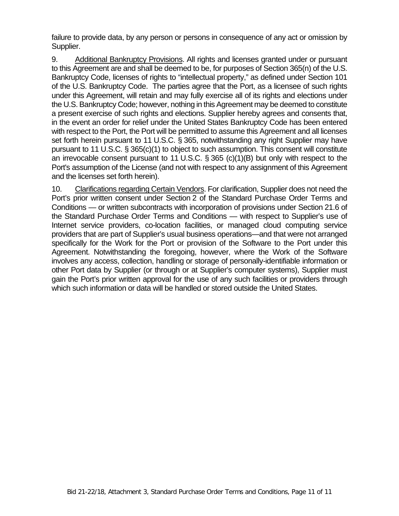failure to provide data, by any person or persons in consequence of any act or omission by Supplier.

9. Additional Bankruptcy Provisions. All rights and licenses granted under or pursuant to this Agreement are and shall be deemed to be, for purposes of Section 365(n) of the U.S. Bankruptcy Code, licenses of rights to "intellectual property," as defined under Section 101 of the U.S. Bankruptcy Code. The parties agree that the Port, as a licensee of such rights under this Agreement, will retain and may fully exercise all of its rights and elections under the U.S. Bankruptcy Code; however, nothing in this Agreement may be deemed to constitute a present exercise of such rights and elections. Supplier hereby agrees and consents that, in the event an order for relief under the United States Bankruptcy Code has been entered with respect to the Port, the Port will be permitted to assume this Agreement and all licenses set forth herein pursuant to 11 U.S.C. § 365, notwithstanding any right Supplier may have pursuant to 11 U.S.C. § 365(c)(1) to object to such assumption. This consent will constitute an irrevocable consent pursuant to 11 U.S.C. § 365 (c)(1)(B) but only with respect to the Port's assumption of the License (and not with respect to any assignment of this Agreement and the licenses set forth herein).

10. Clarifications regarding Certain Vendors. For clarification, Supplier does not need the Port's prior written consent under Section 2 of the Standard Purchase Order Terms and Conditions — or written subcontracts with incorporation of provisions under Section 21.6 of the Standard Purchase Order Terms and Conditions — with respect to Supplier's use of Internet service providers, co-location facilities, or managed cloud computing service providers that are part of Supplier's usual business operations—and that were not arranged specifically for the Work for the Port or provision of the Software to the Port under this Agreement. Notwithstanding the foregoing, however, where the Work of the Software involves any access, collection, handling or storage of personally-identifiable information or other Port data by Supplier (or through or at Supplier's computer systems), Supplier must gain the Port's prior written approval for the use of any such facilities or providers through which such information or data will be handled or stored outside the United States.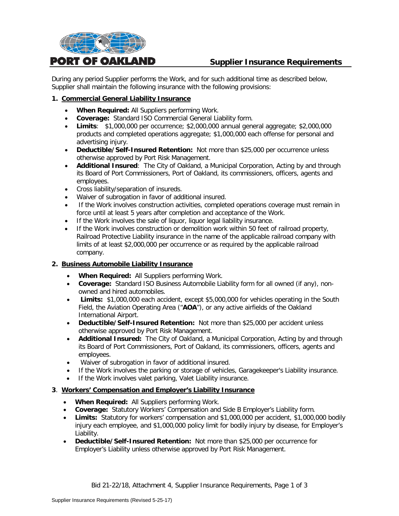

# **Supplier Insurance Requirements**

During any period Supplier performs the Work, and for such additional time as described below, Supplier shall maintain the following insurance with the following provisions:

#### **1. Commercial General Liability Insurance**

- **When Required:** All Suppliers performing Work.
- **Coverage:** Standard ISO Commercial General Liability form.
- **Limits**: \$1,000,000 per occurrence; \$2,000,000 annual general aggregate; \$2,000,000 products and completed operations aggregate; \$1,000,000 each offense for personal and advertising injury.
- **Deductible/Self-Insured Retention:** Not more than \$25,000 per occurrence unless otherwise approved by Port Risk Management.
- **Additional Insured**: The City of Oakland, a Municipal Corporation, Acting by and through its Board of Port Commissioners, Port of Oakland, its commissioners, officers, agents and employees.
- Cross liability/separation of insureds.
- Waiver of subrogation in favor of additional insured.
- If the Work involves construction activities, completed operations coverage must remain in force until at least 5 years after completion and acceptance of the Work.
- If the Work involves the sale of liquor, liquor legal liability insurance.
- If the Work involves construction or demolition work within 50 feet of railroad property, Railroad Protective Liability insurance in the name of the applicable railroad company with limits of at least \$2,000,000 per occurrence or as required by the applicable railroad company.

#### **2. Business Automobile Liability Insurance**

- **When Required:** All Suppliers performing Work.
- **Coverage:** Standard ISO Business Automobile Liability form for all owned (if any), nonowned and hired automobiles.
- **Limits:** \$1,000,000 each accident, except \$5,000,000 for vehicles operating in the South Field, the Aviation Operating Area ("**AOA**"), or any active airfields of the Oakland International Airport.
- **Deductible/Self-Insured Retention:** Not more than \$25,000 per accident unless otherwise approved by Port Risk Management.
- **Additional Insured:** The City of Oakland, a Municipal Corporation, Acting by and through its Board of Port Commissioners, Port of Oakland, its commissioners, officers, agents and employees.
- Waiver of subrogation in favor of additional insured.
- If the Work involves the parking or storage of vehicles, Garagekeeper's Liability insurance.
- If the Work involves valet parking, Valet Liability insurance.

#### **3**. **Workers' Compensation and Employer's Liability Insurance**

- **When Required:** All Suppliers performing Work.
- **Coverage:** Statutory Workers' Compensation and Side B Employer's Liability form.
- **Limits:** Statutory for workers' compensation and \$1,000,000 per accident, \$1,000,000 bodily injury each employee, and \$1,000,000 policy limit for bodily injury by disease, for Employer's Liability.
- **Deductible/Self-Insured Retention:** Not more than \$25,000 per occurrence for Employer's Liability unless otherwise approved by Port Risk Management.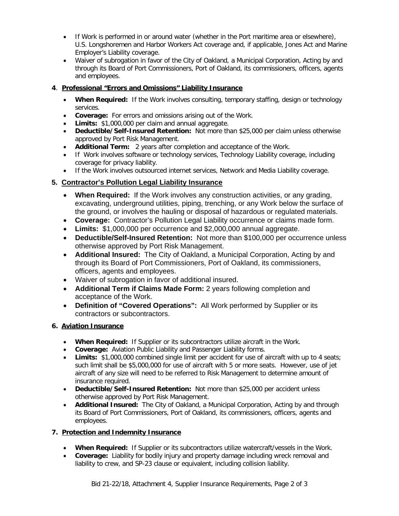- If Work is performed in or around water (whether in the Port maritime area or elsewhere), U.S. Longshoremen and Harbor Workers Act coverage and, if applicable, Jones Act and Marine Employer's Liability coverage.
- Waiver of subrogation in favor of the City of Oakland, a Municipal Corporation, Acting by and through its Board of Port Commissioners, Port of Oakland, its commissioners, officers, agents and employees.

# **4**. **Professional "Errors and Omissions" Liability Insurance**

- **When Required:** If the Work involves consulting, temporary staffing, design or technology services.
- **Coverage:** For errors and omissions arising out of the Work.
- **Limits:** \$1,000,000 per claim and annual aggregate.
- **Deductible/Self-Insured Retention:** Not more than \$25,000 per claim unless otherwise approved by Port Risk Management.
- **Additional Term:** 2 years after completion and acceptance of the Work.
- If Work involves software or technology services, Technology Liability coverage, including coverage for privacy liability.
- If the Work involves outsourced internet services, Network and Media Liability coverage.

# **5. Contractor's Pollution Legal Liability Insurance**

- **When Required:** If the Work involves any construction activities, or any grading, excavating, underground utilities, piping, trenching, or any Work below the surface of the ground, or involves the hauling or disposal of hazardous or regulated materials.
- **Coverage:** Contractor's Pollution Legal Liability occurrence or claims made form.
- **Limits:** \$1,000,000 per occurrence and \$2,000,000 annual aggregate.
- **Deductible/Self-Insured Retention:** Not more than \$100,000 per occurrence unless otherwise approved by Port Risk Management.
- **Additional Insured:** The City of Oakland, a Municipal Corporation, Acting by and through its Board of Port Commissioners, Port of Oakland, its commissioners, officers, agents and employees.
- Waiver of subrogation in favor of additional insured.
- **Additional Term if Claims Made Form:** 2 years following completion and acceptance of the Work.
- **Definition of "Covered Operations":** All Work performed by Supplier or its contractors or subcontractors.

#### **6. Aviation Insurance**

- **When Required:** If Supplier or its subcontractors utilize aircraft in the Work.
- **Coverage:** Aviation Public Liability and Passenger Liability forms.
- **Limits:** \$1,000,000 combined single limit per accident for use of aircraft with up to 4 seats; such limit shall be \$5,000,000 for use of aircraft with 5 or more seats. However, use of jet aircraft of any size will need to be referred to Risk Management to determine amount of insurance required.
- **Deductible/Self-Insured Retention:** Not more than \$25,000 per accident unless otherwise approved by Port Risk Management.
- **Additional Insured:** The City of Oakland, a Municipal Corporation, Acting by and through its Board of Port Commissioners, Port of Oakland, its commissioners, officers, agents and employees.

#### **7. Protection and Indemnity Insurance**

- **When Required:** If Supplier or its subcontractors utilize watercraft/vessels in the Work.
- **Coverage:** Liability for bodily injury and property damage including wreck removal and liability to crew, and SP-23 clause or equivalent, including collision liability.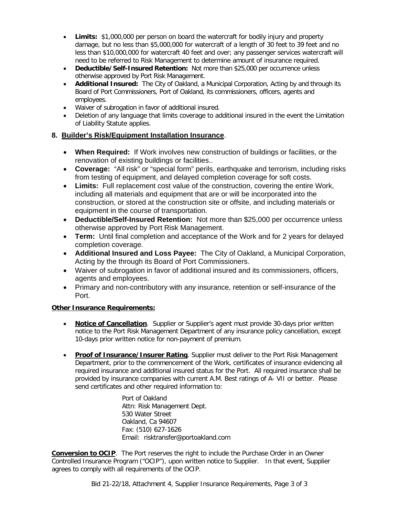- **Limits:** \$1,000,000 per person on board the watercraft for bodily injury and property damage, but no less than \$5,000,000 for watercraft of a length of 30 feet to 39 feet and no less than \$10,000,000 for watercraft 40 feet and over; any passenger services watercraft will need to be referred to Risk Management to determine amount of insurance required.
- **Deductible/Self-Insured Retention:** Not more than \$25,000 per occurrence unless otherwise approved by Port Risk Management.
- **Additional Insured:** The City of Oakland, a Municipal Corporation, Acting by and through its Board of Port Commissioners, Port of Oakland, its commissioners, officers, agents and employees.
- Waiver of subrogation in favor of additional insured.
- Deletion of any language that limits coverage to additional insured in the event the Limitation of Liability Statute applies.

#### **8. Builder's Risk/Equipment Installation Insurance**.

- **When Required:** If Work involves new construction of buildings or facilities, or the renovation of existing buildings or facilities..
- **Coverage:** "All risk" or "special form" perils, earthquake and terrorism, including risks from testing of equipment, and delayed completion coverage for soft costs.
- **Limits:** Full replacement cost value of the construction, covering the entire Work, including all materials and equipment that are or will be incorporated into the construction, or stored at the construction site or offsite, and including materials or equipment in the course of transportation.
- **Deductible/Self-Insured Retention:** Not more than \$25,000 per occurrence unless otherwise approved by Port Risk Management.
- **Term:** Until final completion and acceptance of the Work and for 2 years for delayed completion coverage.
- **Additional Insured and Loss Payee:** The City of Oakland, a Municipal Corporation, Acting by the through its Board of Port Commissioners.
- Waiver of subrogation in favor of additional insured and its commissioners, officers, agents and employees.
- Primary and non-contributory with any insurance, retention or self-insurance of the Port.

#### **Other Insurance Requirements:**

- **Notice of Cancellation**. Supplier or Supplier's agent must provide 30-days prior written notice to the Port Risk Management Department of any insurance policy cancellation, except 10-days prior written notice for non-payment of premium.
- **Proof of Insurance/Insurer Rating**. Supplier must deliver to the Port Risk Management Department, prior to the commencement of the Work, certificates of insurance evidencing all required insurance and additional insured status for the Port. All required insurance shall be provided by insurance companies with current A.M. Best ratings of A- VII or better. Please send certificates and other required information to:

Port of Oakland Attn: Risk Management Dept. 530 Water Street Oakland, Ca 94607 Fax: (510) 627-1626 Email: risktransfer@portoakland.com

**Conversion to OCIP**. The Port reserves the right to include the Purchase Order in an Owner Controlled Insurance Program ("OCIP"), upon written notice to Supplier. In that event, Supplier agrees to comply with all requirements of the OCIP.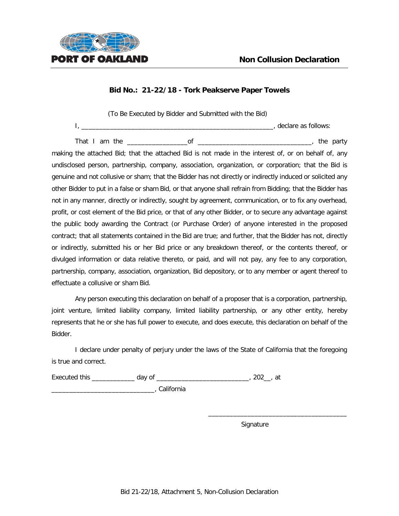

(To Be Executed by Bidder and Submitted with the Bid) I, \_\_\_\_\_\_\_\_\_\_\_\_\_\_\_\_\_\_\_\_\_\_\_\_\_\_\_\_\_\_\_\_\_\_\_\_\_\_\_\_\_\_\_\_\_\_\_\_\_\_\_\_\_\_, declare as follows:

That I am the \_\_\_\_\_\_\_\_\_\_\_\_\_\_\_\_\_of \_\_\_\_\_\_\_\_\_\_\_\_\_\_\_\_\_\_\_\_\_\_\_\_\_\_\_\_\_\_\_\_, the party making the attached Bid; that the attached Bid is not made in the interest of, or on behalf of, any undisclosed person, partnership, company, association, organization, or corporation; that the Bid is genuine and not collusive or sham; that the Bidder has not directly or indirectly induced or solicited any other Bidder to put in a false or sham Bid, or that anyone shall refrain from Bidding; that the Bidder has not in any manner, directly or indirectly, sought by agreement, communication, or to fix any overhead, profit, or cost element of the Bid price, or that of any other Bidder, or to secure any advantage against the public body awarding the Contract (or Purchase Order) of anyone interested in the proposed contract; that all statements contained in the Bid are true; and further, that the Bidder has not, directly or indirectly, submitted his or her Bid price or any breakdown thereof, or the contents thereof, or divulged information or data relative thereto, or paid, and will not pay, any fee to any corporation, partnership, company, association, organization, Bid depository, or to any member or agent thereof to effectuate a collusive or sham Bid.

Any person executing this declaration on behalf of a proposer that is a corporation, partnership, joint venture, limited liability company, limited liability partnership, or any other entity, hereby represents that he or she has full power to execute, and does execute, this declaration on behalf of the Bidder.

I declare under penalty of perjury under the laws of the State of California that the foregoing is true and correct.

Executed this \_\_\_\_\_\_\_\_\_\_\_\_\_\_ day of \_\_\_\_\_\_\_\_\_\_\_\_\_\_\_\_\_\_\_\_\_\_\_\_\_\_\_\_\_\_, 202\_\_, at

\_\_\_\_\_\_\_\_\_\_\_\_\_\_\_\_\_\_\_\_\_\_\_\_\_\_\_\_\_, California

Signature

\_\_\_\_\_\_\_\_\_\_\_\_\_\_\_\_\_\_\_\_\_\_\_\_\_\_\_\_\_\_\_\_\_\_\_\_\_\_\_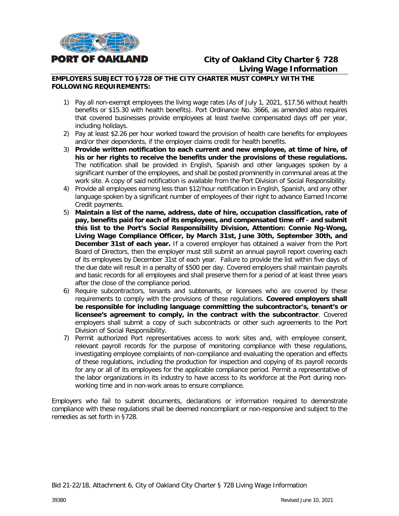

# **City of Oakland City Charter § 728 Living Wage Information**

#### **EMPLOYERS SUBJECT TO §728 OF THE CITY CHARTER MUST COMPLY WITH THE FOLLOWING REQUIREMENTS:**

- 1) Pay all non-exempt employees the living wage rates (As of July 1, 2021, \$17.56 without health benefits or \$15.30 with health benefits). Port Ordinance No. 3666, as amended also requires that covered businesses provide employees at least twelve compensated days off per year, including holidays.
- 2) Pay at least \$2.26 per hour worked toward the provision of health care benefits for employees and/or their dependents, if the employer claims credit for health benefits.
- 3) **Provide written notification to each current and new employee, at time of hire, of his or her rights to receive the benefits under the provisions of these regulations.** The notification shall be provided in English, Spanish and other languages spoken by a significant number of the employees, and shall be posted prominently in communal areas at the work site. A copy of said notification is available from the Port Division of Social Responsibility.
- 4) Provide all employees earning less than \$12/hour notification in English, Spanish, and any other language spoken by a significant number of employees of their right to advance Earned Income Credit payments.
- 5) **Maintain a list of the name, address, date of hire, occupation classification, rate of pay, benefits paid for each of its employees, and compensated time off - and submit this list to the Port's Social Responsibility Division, Attention: Connie Ng-Wong, Living Wage Compliance Officer, by March 31st, June 30th, September 30th, and December 31st of each year.** If a covered employer has obtained a waiver from the Port Board of Directors, then the employer must still submit an annual payroll report covering each of its employees by December 31st of each year. Failure to provide the list within five days of the due date will result in a penalty of \$500 per day. Covered employers shall maintain payrolls and basic records for all employees and shall preserve them for a period of at least three years after the close of the compliance period.
- 6) Require subcontractors, tenants and subtenants, or licensees who are covered by these requirements to comply with the provisions of these regulations. **Covered employers shall be responsible for including language committing the subcontractor's, tenant's or licensee's agreement to comply, in the contract with the subcontractor**. Covered employers shall submit a copy of such subcontracts or other such agreements to the Port Division of Social Responsibility.
- 7) Permit authorized Port representatives access to work sites and, with employee consent, relevant payroll records for the purpose of monitoring compliance with these regulations, investigating employee complaints of non-compliance and evaluating the operation and effects of these regulations, including the production for inspection and copying of its payroll records for any or all of its employees for the applicable compliance period. Permit a representative of the labor organizations in its industry to have access to its workforce at the Port during nonworking time and in non-work areas to ensure compliance.

Employers who fail to submit documents, declarations or information required to demonstrate compliance with these regulations shall be deemed noncompliant or non-responsive and subject to the remedies as set forth in §728.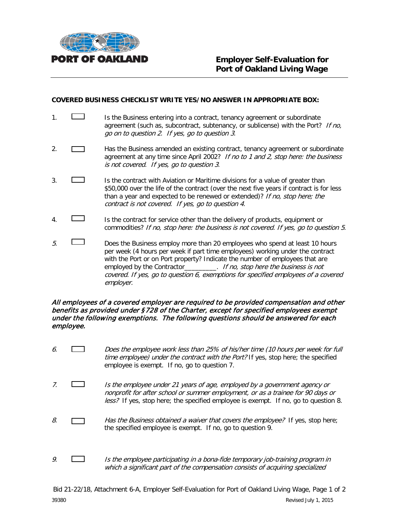

#### **COVERED BUSINESS CHECKLIST WRITE YES/NO ANSWER IN APPROPRIATE BOX:**

- 1. **If the Business entering into a contract, tenancy agreement or subordinate** agreement (such as, subcontract, subtenancy, or sublicense) with the Port? If no, go on to question 2. If yes, go to question 3.
- 2. **Has the Business amended an existing contract, tenancy agreement or subordinate** agreement at any time since April 2002? If no to 1 and 2, stop here: the business is not covered. If yes, go to question 3.
- 3. **In the contract with Aviation or Maritime divisions for a value of greater than** \$50,000 over the life of the contract (over the next five years if contract is for less than a year and expected to be renewed or extended)? If no, stop here; the contract is not covered. If yes, go to question 4.
- 4. Is the contract for service other than the delivery of products, equipment or commodities? If no, stop here: the business is not covered. If yes, go to question 5.
- $5.$  Does the Business employ more than 20 employees who spend at least 10 hours per week (4 hours per week if part time employees) working under the contract with the Port or on Port property? Indicate the number of employees that are employed by the Contractor\_\_\_\_\_\_\_\_\_. If no, stop here the business is not covered. If yes, go to question 6, exemptions for specified employees of a covered employer.

#### All employees of a covered employer are required to be provided compensation and other benefits as provided under §728 of the Charter, except for specified employees exempt under the following exemptions. The following questions should be answered for each employee.

- 6. Does the employee work less than 25% of his/her time (10 hours per week for full time employee) under the contract with the Port? If yes, stop here; the specified employee is exempt. If no, go to question 7.
- 7. Is the employee under 21 years of age, employed by a government agency or nonprofit for after school or summer employment, or as a trainee for 90 days or less? If yes, stop here; the specified employee is exempt. If no, go to question 8.
- 8.  $\Box$  Has the Business obtained a waiver that covers the employee? If yes, stop here; the specified employee is exempt. If no, go to question 9.
- 9.  $\Box$  Is the employee participating in a bona-fide temporary job-training program in which a significant part of the compensation consists of acquiring specialized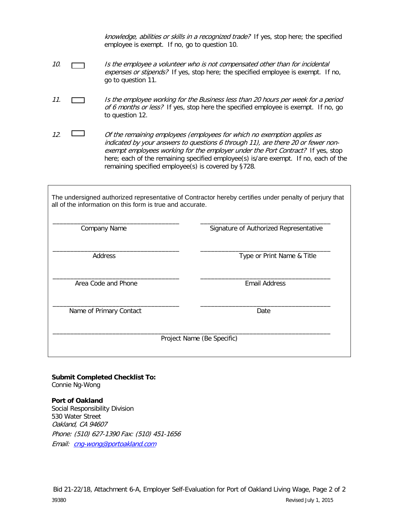knowledge, abilities or skills in a recognized trade? If yes, stop here; the specified employee is exempt. If no, go to question 10.

- 10. Is the employee a volunteer who is not compensated other than for incidental expenses or stipends? If yes, stop here; the specified employee is exempt. If no, go to question 11.
- 11. **In the employee working for the Business less than 20 hours per week for a period** of 6 months or less? If yes, stop here the specified employee is exempt. If no, go to question 12.
- 12.  $\Box$  Of the remaining employees (employees for which no exemption applies as indicated by your answers to questions 6 through 11), are there 20 or fewer nonexempt employees working for the employer under the Port Contract? If yes, stop here; each of the remaining specified employee(s) is/are exempt. If no, each of the remaining specified employee(s) is covered by §728.

The undersigned authorized representative of Contractor hereby certifies under penalty of perjury that all of the information on this form is true and accurate.

| Company Name            | Signature of Authorized Representative |
|-------------------------|----------------------------------------|
| Address                 | Type or Print Name & Title             |
| Area Code and Phone     | <b>Email Address</b>                   |
| Name of Primary Contact | Date                                   |
|                         | Project Name (Be Specific)             |

**Submit Completed Checklist To:** Connie Ng-Wong

**Port of Oakland**  Social Responsibility Division 530 Water Street Oakland, CA 94607 Phone: (510) 627-1390 Fax: (510) 451-1656 Email: [cng-wong@portoakland.com](mailto:cng-wong@portoakland.com)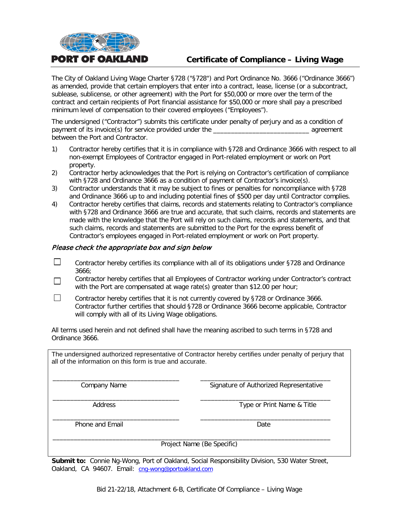

# **Certificate of Compliance – Living Wage**

The City of Oakland Living Wage Charter §728 ("§728") and Port Ordinance No. 3666 ("Ordinance 3666") as amended, provide that certain employers that enter into a contract, lease, license (or a subcontract, sublease, sublicense, or other agreement) with the Port for \$50,000 or more over the term of the contract and certain recipients of Port financial assistance for \$50,000 or more shall pay a prescribed minimum level of compensation to their covered employees ("Employees").

The undersigned ("Contractor") submits this certificate under penalty of perjury and as a condition of payment of its invoice(s) for service provided under the \_\_\_\_\_\_\_\_\_\_\_\_\_\_\_\_\_\_\_\_\_\_\_\_\_\_\_ agreement between the Port and Contractor.

- 1) Contractor hereby certifies that it is in compliance with §728 and Ordinance 3666 with respect to all non-exempt Employees of Contractor engaged in Port-related employment or work on Port property.
- 2) Contractor herby acknowledges that the Port is relying on Contractor's certification of compliance with §728 and Ordinance 3666 as a condition of payment of Contractor's invoice(s).
- 3) Contractor understands that it may be subject to fines or penalties for noncompliance with §728 and Ordinance 3666 up to and including potential fines of \$500 per day until Contractor complies.
- 4) Contractor hereby certifies that claims, records and statements relating to Contractor's compliance with §728 and Ordinance 3666 are true and accurate, that such claims, records and statements are made with the knowledge that the Port will rely on such claims, records and statements, and that such claims, records and statements are submitted to the Port for the express benefit of Contractor's employees engaged in Port-related employment or work on Port property.

#### Please check the appropriate box and sign below

- $\Box$ Contractor hereby certifies its compliance with all of its obligations under §728 and Ordinance 3666;
- Contractor hereby certifies that all Employees of Contractor working under Contractor's contract П with the Port are compensated at wage rate(s) greater than \$12.00 per hour;
- П Contractor hereby certifies that it is not currently covered by §728 or Ordinance 3666. Contractor further certifies that should §728 or Ordinance 3666 become applicable, Contractor will comply with all of its Living Wage obligations.

All terms used herein and not defined shall have the meaning ascribed to such terms in §728 and Ordinance 3666.

The undersigned authorized representative of Contractor hereby certifies under penalty of perjury that all of the information on this form is true and accurate.

\_\_\_\_\_\_\_\_\_\_\_\_\_\_\_\_\_\_\_\_\_\_\_\_\_\_\_\_\_\_\_\_\_\_\_\_ \_\_\_\_\_\_\_\_\_\_\_\_\_\_\_\_\_\_\_\_\_\_\_\_\_\_\_\_\_\_\_\_\_\_\_\_\_ Company Name Signature of Authorized Representative

\_\_\_\_\_\_\_\_\_\_\_\_\_\_\_\_\_\_\_\_\_\_\_\_\_\_\_\_\_\_\_\_\_\_\_\_ \_\_\_\_\_\_\_\_\_\_\_\_\_\_\_\_\_\_\_\_\_\_\_\_\_\_\_\_\_\_\_\_\_\_\_\_\_ Address **Address** Type or Print Name & Title

\_\_\_\_\_\_\_\_\_\_\_\_\_\_\_\_\_\_\_\_\_\_\_\_\_\_\_\_\_\_\_\_\_\_\_\_ \_\_\_\_\_\_\_\_\_\_\_\_\_\_\_\_\_\_\_\_\_\_\_\_\_\_\_\_\_\_\_\_\_\_\_\_\_ Phone and Email Date and Email Date Date Date Date

\_\_\_\_\_\_\_\_\_\_\_\_\_\_\_\_\_\_\_\_\_\_\_\_\_\_\_\_\_\_\_\_\_\_\_\_\_\_\_\_\_\_\_\_\_\_\_\_\_\_\_\_\_\_\_\_\_\_\_\_\_\_\_\_\_\_\_\_\_\_\_\_\_\_\_\_\_\_\_ Project Name (Be Specific)

**Submit to:** Connie Ng-Wong, Port of Oakland, Social Responsibility Division, 530 Water Street, Oakland, CA 94607. Email: [cng-wong@portoakland.com](mailto:cng-wong@portoakland.com)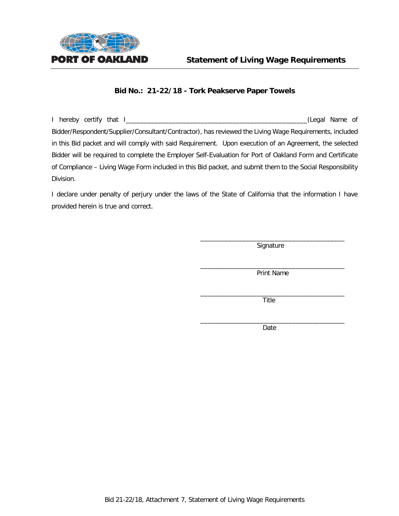

I hereby certify that I\_\_\_\_\_\_\_\_\_\_\_\_\_\_\_\_\_\_\_\_\_\_\_\_\_\_\_\_\_\_\_\_\_\_\_\_\_\_\_\_\_\_\_\_\_\_\_\_\_\_\_(Legal Name of Bidder/Respondent/Supplier/Consultant/Contractor), has reviewed the Living Wage Requirements, included in this Bid packet and will comply with said Requirement. Upon execution of an Agreement, the selected Bidder will be required to complete the Employer Self-Evaluation for Port of Oakland Form and Certificate of Compliance – Living Wage Form included in this Bid packet, and submit them to the Social Responsibility Division.

I declare under penalty of perjury under the laws of the State of California that the information I have provided herein is true and correct.

> \_\_\_\_\_\_\_\_\_\_\_\_\_\_\_\_\_\_\_\_\_\_\_\_\_\_\_\_\_\_\_\_\_\_\_\_\_\_\_\_\_ Signature

> $\overline{\phantom{a}}$  , and the set of the set of the set of the set of the set of the set of the set of the set of the set of the set of the set of the set of the set of the set of the set of the set of the set of the set of the s Print Name

> $\frac{1}{2}$  , and the set of the set of the set of the set of the set of the set of the set of the set of the set of the set of the set of the set of the set of the set of the set of the set of the set of the set of the set Title

> \_\_\_\_\_\_\_\_\_\_\_\_\_\_\_\_\_\_\_\_\_\_\_\_\_\_\_\_\_\_\_\_\_\_\_\_\_\_\_\_\_ Date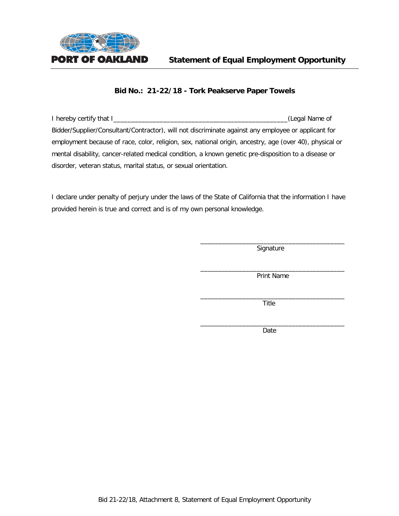

I hereby certify that I\_\_\_\_\_\_\_\_\_\_\_\_\_\_\_\_\_\_\_\_\_\_\_\_\_\_\_\_\_\_\_\_\_\_\_\_\_\_\_\_\_\_\_\_\_\_\_\_\_(Legal Name of Bidder/Supplier/Consultant/Contractor), will not discriminate against any employee or applicant for employment because of race, color, religion, sex, national origin, ancestry, age (over 40), physical or mental disability, cancer-related medical condition, a known genetic pre-disposition to a disease or disorder, veteran status, marital status, or sexual orientation.

I declare under penalty of perjury under the laws of the State of California that the information I have provided herein is true and correct and is of my own personal knowledge.

> \_\_\_\_\_\_\_\_\_\_\_\_\_\_\_\_\_\_\_\_\_\_\_\_\_\_\_\_\_\_\_\_\_\_\_\_\_\_\_\_\_ **Signature**

> \_\_\_\_\_\_\_\_\_\_\_\_\_\_\_\_\_\_\_\_\_\_\_\_\_\_\_\_\_\_\_\_\_\_\_\_\_\_\_\_\_ Print Name

> \_\_\_\_\_\_\_\_\_\_\_\_\_\_\_\_\_\_\_\_\_\_\_\_\_\_\_\_\_\_\_\_\_\_\_\_\_\_\_\_\_ Title

> \_\_\_\_\_\_\_\_\_\_\_\_\_\_\_\_\_\_\_\_\_\_\_\_\_\_\_\_\_\_\_\_\_\_\_\_\_\_\_\_\_ Date